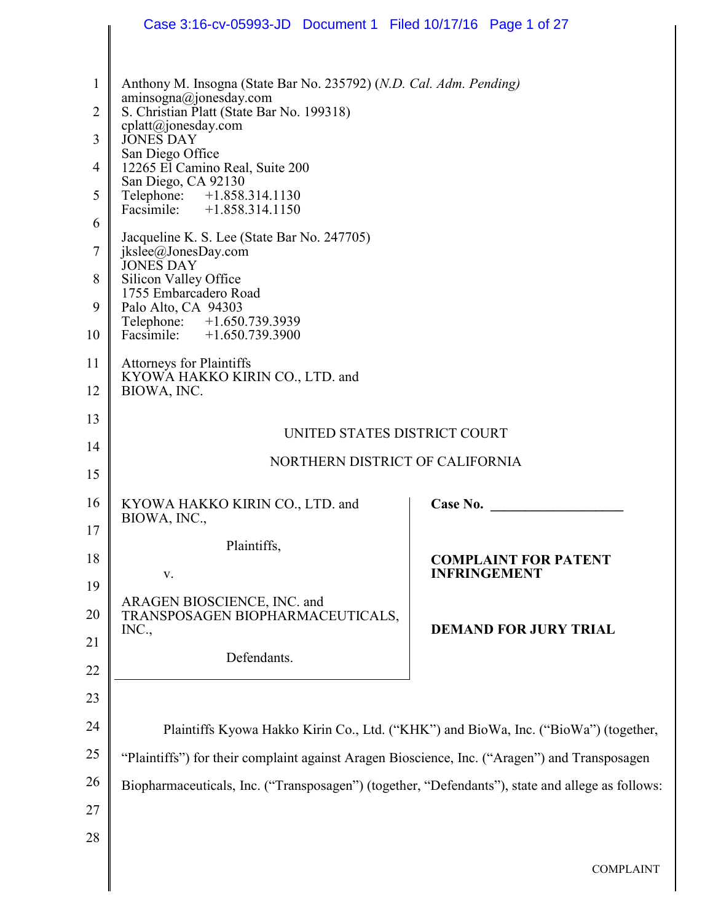|                | Case 3:16-cv-05993-JD  Document 1  Filed 10/17/16  Page 1 of 27                                                                                                                      |                                                    |  |  |  |  |
|----------------|--------------------------------------------------------------------------------------------------------------------------------------------------------------------------------------|----------------------------------------------------|--|--|--|--|
|                |                                                                                                                                                                                      |                                                    |  |  |  |  |
| $\mathbf{1}$   | Anthony M. Insogna (State Bar No. 235792) (N.D. Cal. Adm. Pending)                                                                                                                   |                                                    |  |  |  |  |
| $\overline{2}$ | aminsogna@jonesday.com<br>S. Christian Platt (State Bar No. 199318)                                                                                                                  |                                                    |  |  |  |  |
| 3              | $cplat(\omega)jonesday.com$<br><b>JONES DAY</b>                                                                                                                                      |                                                    |  |  |  |  |
| 4              | San Diego Office<br>12265 El Camino Real, Suite 200                                                                                                                                  |                                                    |  |  |  |  |
| 5              | San Diego, CA 92130<br>Telephone: +1.858.314.1130                                                                                                                                    |                                                    |  |  |  |  |
| 6              | Facsimile: +1.858.314.1150                                                                                                                                                           |                                                    |  |  |  |  |
| 7              | Jacqueline K. S. Lee (State Bar No. 247705)<br>jkslee@JonesDay.com                                                                                                                   |                                                    |  |  |  |  |
| 8              | <b>JONES DAY</b><br>Silicon Valley Office                                                                                                                                            |                                                    |  |  |  |  |
| 9              | 1755 Embarcadero Road<br>Palo Alto, CA 94303                                                                                                                                         |                                                    |  |  |  |  |
| 10             | Telephone: +1.650.739.3939<br>Facsimile: +1.650.739.3900                                                                                                                             |                                                    |  |  |  |  |
| 11             | <b>Attorneys for Plaintiffs</b><br>KYOWA HAKKO KIRIN CO., LTD. and                                                                                                                   |                                                    |  |  |  |  |
| 12             | BIOWA, INC.                                                                                                                                                                          |                                                    |  |  |  |  |
| 13             |                                                                                                                                                                                      |                                                    |  |  |  |  |
| 14             | UNITED STATES DISTRICT COURT<br>NORTHERN DISTRICT OF CALIFORNIA                                                                                                                      |                                                    |  |  |  |  |
| 15             |                                                                                                                                                                                      |                                                    |  |  |  |  |
| 16             | KYOWA HAKKO KIRIN CO., LTD. and<br>BIOWA, INC.,                                                                                                                                      | Case No.                                           |  |  |  |  |
| 17             | Plaintiffs,                                                                                                                                                                          |                                                    |  |  |  |  |
| 18             | V.                                                                                                                                                                                   | <b>COMPLAINT FOR PATENT</b><br><b>INFRINGEMENT</b> |  |  |  |  |
| 19             | ARAGEN BIOSCIENCE, INC. and                                                                                                                                                          |                                                    |  |  |  |  |
| 20             | TRANSPOSAGEN BIOPHARMACEUTICALS,<br>INC.,                                                                                                                                            | <b>DEMAND FOR JURY TRIAL</b>                       |  |  |  |  |
| 21<br>22       | Defendants.                                                                                                                                                                          |                                                    |  |  |  |  |
| 23             |                                                                                                                                                                                      |                                                    |  |  |  |  |
| 24             |                                                                                                                                                                                      |                                                    |  |  |  |  |
| 25             | Plaintiffs Kyowa Hakko Kirin Co., Ltd. ("KHK") and BioWa, Inc. ("BioWa") (together,<br>"Plaintiffs") for their complaint against Aragen Bioscience, Inc. ("Aragen") and Transposagen |                                                    |  |  |  |  |
| 26             |                                                                                                                                                                                      |                                                    |  |  |  |  |
| 27             | Biopharmaceuticals, Inc. ("Transposagen") (together, "Defendants"), state and allege as follows:                                                                                     |                                                    |  |  |  |  |
| 28             |                                                                                                                                                                                      |                                                    |  |  |  |  |
|                |                                                                                                                                                                                      | <b>COMPLAINT</b>                                   |  |  |  |  |
|                |                                                                                                                                                                                      |                                                    |  |  |  |  |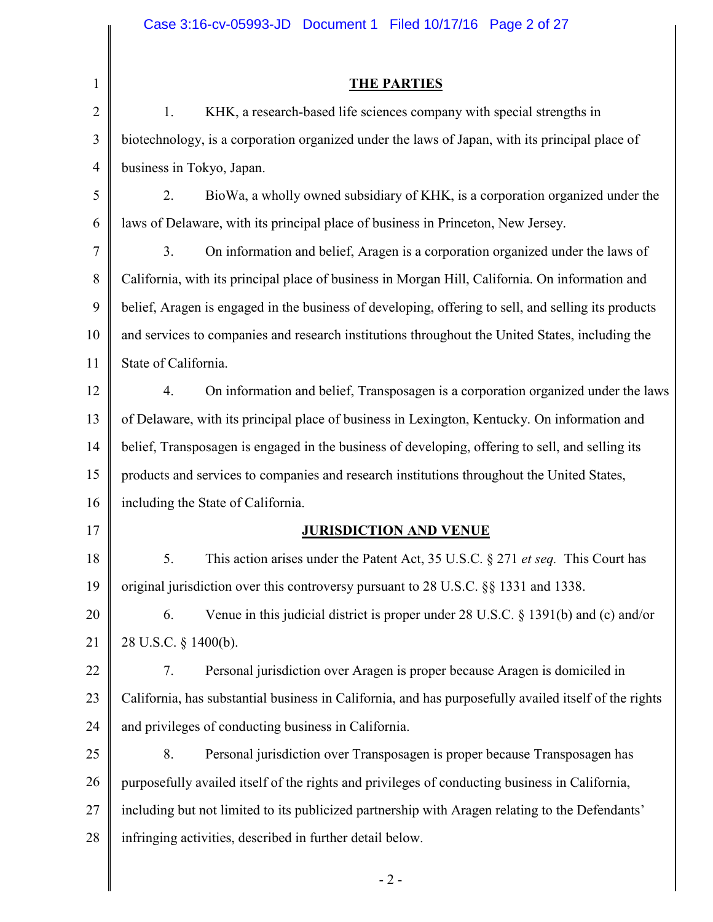|                | Case 3:16-cv-05993-JD  Document 1  Filed 10/17/16  Page 2 of 27                                       |  |  |  |  |
|----------------|-------------------------------------------------------------------------------------------------------|--|--|--|--|
|                |                                                                                                       |  |  |  |  |
| $\mathbf{1}$   | <b>THE PARTIES</b>                                                                                    |  |  |  |  |
| $\overline{2}$ | KHK, a research-based life sciences company with special strengths in<br>1.                           |  |  |  |  |
| 3              | biotechnology, is a corporation organized under the laws of Japan, with its principal place of        |  |  |  |  |
| $\overline{4}$ | business in Tokyo, Japan.                                                                             |  |  |  |  |
| 5              | 2.<br>BioWa, a wholly owned subsidiary of KHK, is a corporation organized under the                   |  |  |  |  |
| 6              | laws of Delaware, with its principal place of business in Princeton, New Jersey.                      |  |  |  |  |
| 7              | 3 <sub>1</sub><br>On information and belief, Aragen is a corporation organized under the laws of      |  |  |  |  |
| 8              | California, with its principal place of business in Morgan Hill, California. On information and       |  |  |  |  |
| 9              | belief, Aragen is engaged in the business of developing, offering to sell, and selling its products   |  |  |  |  |
| 10             | and services to companies and research institutions throughout the United States, including the       |  |  |  |  |
| 11             | State of California.                                                                                  |  |  |  |  |
| 12             | On information and belief, Transposagen is a corporation organized under the laws<br>4.               |  |  |  |  |
| 13             | of Delaware, with its principal place of business in Lexington, Kentucky. On information and          |  |  |  |  |
| 14             | belief, Transposagen is engaged in the business of developing, offering to sell, and selling its      |  |  |  |  |
| 15             | products and services to companies and research institutions throughout the United States,            |  |  |  |  |
| 16             | including the State of California.                                                                    |  |  |  |  |
| 17             | <b>JURISDICTION AND VENUE</b>                                                                         |  |  |  |  |
| 18             | 5.<br>This action arises under the Patent Act, 35 U.S.C. § 271 <i>et seq.</i> This Court has          |  |  |  |  |
| 19             | original jurisdiction over this controversy pursuant to 28 U.S.C. §§ 1331 and 1338.                   |  |  |  |  |
| 20             | Venue in this judicial district is proper under 28 U.S.C. § 1391(b) and (c) and/or<br>6.              |  |  |  |  |
| 21             | 28 U.S.C. § 1400(b).                                                                                  |  |  |  |  |
| 22             | Personal jurisdiction over Aragen is proper because Aragen is domiciled in<br>7.                      |  |  |  |  |
| 23             | California, has substantial business in California, and has purposefully availed itself of the rights |  |  |  |  |
| 24             | and privileges of conducting business in California.                                                  |  |  |  |  |
| 25             | 8.<br>Personal jurisdiction over Transposagen is proper because Transposagen has                      |  |  |  |  |
| 26             | purposefully availed itself of the rights and privileges of conducting business in California,        |  |  |  |  |
| 27             | including but not limited to its publicized partnership with Aragen relating to the Defendants'       |  |  |  |  |
| 28             | infringing activities, described in further detail below.                                             |  |  |  |  |
|                | $-2-$                                                                                                 |  |  |  |  |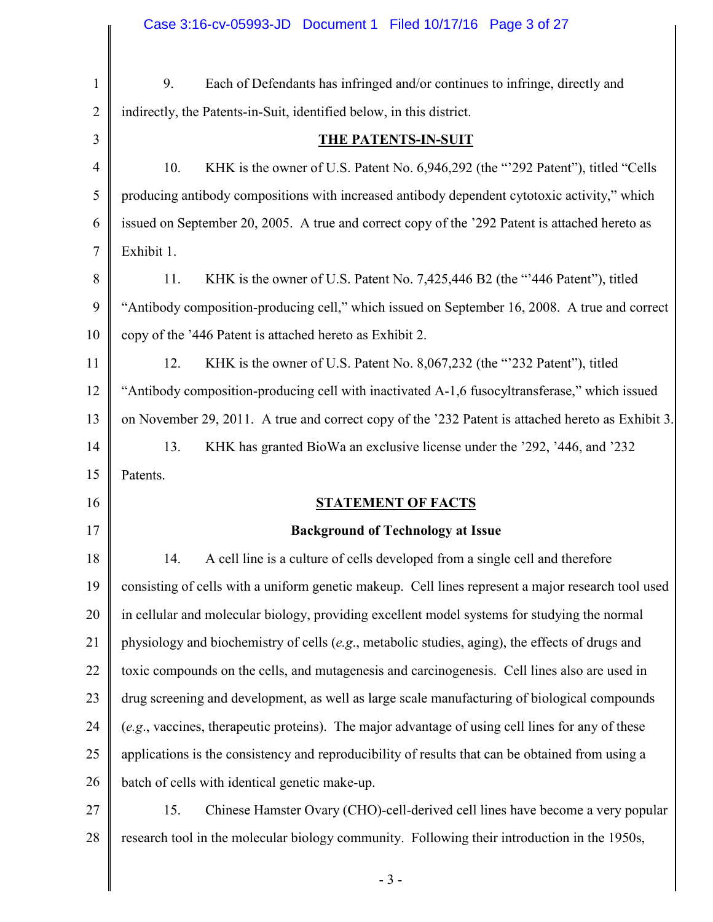$\mathsf{l}$ 

| $\mathbf{1}$                                                   | Each of Defendants has infringed and/or continues to infringe, directly and<br>9.                  |  |  |  |  |
|----------------------------------------------------------------|----------------------------------------------------------------------------------------------------|--|--|--|--|
| $\overline{2}$                                                 | indirectly, the Patents-in-Suit, identified below, in this district.                               |  |  |  |  |
| 3                                                              | <b>THE PATENTS-IN-SUIT</b>                                                                         |  |  |  |  |
| $\overline{4}$                                                 | KHK is the owner of U.S. Patent No. 6,946,292 (the "292 Patent"), titled "Cells<br>10.             |  |  |  |  |
| 5                                                              | producing antibody compositions with increased antibody dependent cytotoxic activity," which       |  |  |  |  |
| 6                                                              | issued on September 20, 2005. A true and correct copy of the '292 Patent is attached hereto as     |  |  |  |  |
| 7                                                              | Exhibit 1.                                                                                         |  |  |  |  |
| 8                                                              | KHK is the owner of U.S. Patent No. 7,425,446 B2 (the "'446 Patent"), titled<br>11.                |  |  |  |  |
| 9                                                              | "Antibody composition-producing cell," which issued on September 16, 2008. A true and correct      |  |  |  |  |
| 10                                                             | copy of the '446 Patent is attached hereto as Exhibit 2.                                           |  |  |  |  |
| 11                                                             | KHK is the owner of U.S. Patent No. 8,067,232 (the "232 Patent"), titled<br>12.                    |  |  |  |  |
| 12                                                             | "Antibody composition-producing cell with inactivated A-1,6 fusocyltransferase," which issued      |  |  |  |  |
| 13                                                             | on November 29, 2011. A true and correct copy of the '232 Patent is attached hereto as Exhibit 3.  |  |  |  |  |
| 14                                                             | 13.<br>KHK has granted BioWa an exclusive license under the '292, '446, and '232                   |  |  |  |  |
|                                                                |                                                                                                    |  |  |  |  |
|                                                                | Patents.                                                                                           |  |  |  |  |
|                                                                | <b>STATEMENT OF FACTS</b>                                                                          |  |  |  |  |
|                                                                | <b>Background of Technology at Issue</b>                                                           |  |  |  |  |
|                                                                | A cell line is a culture of cells developed from a single cell and therefore<br>14.                |  |  |  |  |
| 19                                                             | consisting of cells with a uniform genetic makeup. Cell lines represent a major research tool used |  |  |  |  |
|                                                                | in cellular and molecular biology, providing excellent model systems for studying the normal       |  |  |  |  |
|                                                                | physiology and biochemistry of cells (e.g., metabolic studies, aging), the effects of drugs and    |  |  |  |  |
|                                                                | toxic compounds on the cells, and mutagenesis and carcinogenesis. Cell lines also are used in      |  |  |  |  |
|                                                                | drug screening and development, as well as large scale manufacturing of biological compounds       |  |  |  |  |
|                                                                | (e.g., vaccines, therapeutic proteins). The major advantage of using cell lines for any of these   |  |  |  |  |
|                                                                | applications is the consistency and reproducibility of results that can be obtained from using a   |  |  |  |  |
| 15<br>16<br>17<br>18<br>20<br>21<br>22<br>23<br>24<br>25<br>26 | batch of cells with identical genetic make-up.                                                     |  |  |  |  |
| 27                                                             | 15.<br>Chinese Hamster Ovary (CHO)-cell-derived cell lines have become a very popular              |  |  |  |  |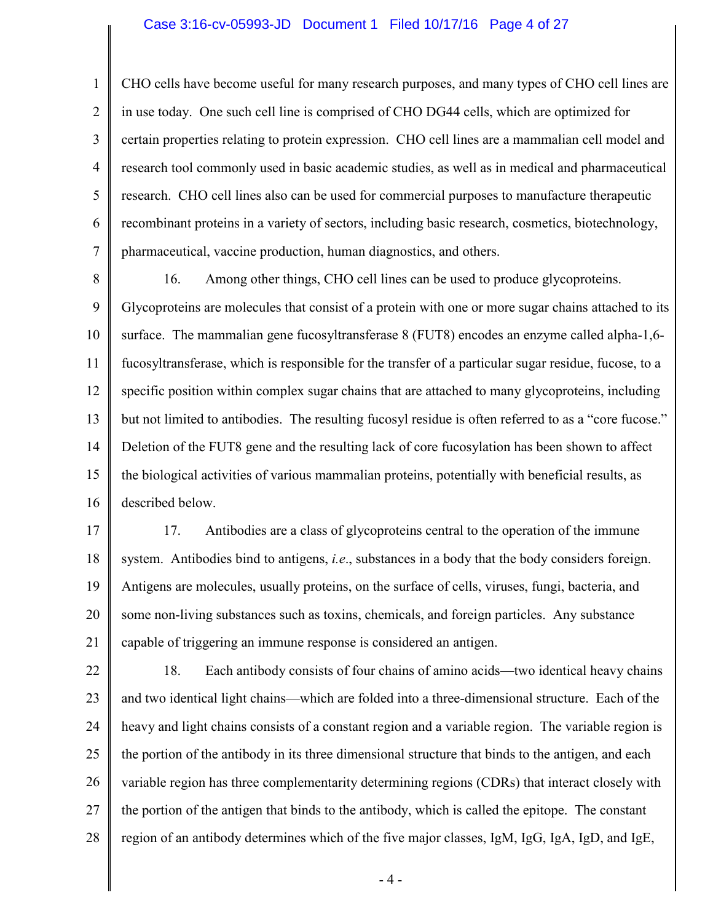#### Case 3:16-cv-05993-JD Document 1 Filed 10/17/16 Page 4 of 27

1

2

3

5

7

4 6 CHO cells have become useful for many research purposes, and many types of CHO cell lines are in use today. One such cell line is comprised of CHO DG44 cells, which are optimized for certain properties relating to protein expression. CHO cell lines are a mammalian cell model and research tool commonly used in basic academic studies, as well as in medical and pharmaceutical research. CHO cell lines also can be used for commercial purposes to manufacture therapeutic recombinant proteins in a variety of sectors, including basic research, cosmetics, biotechnology, pharmaceutical, vaccine production, human diagnostics, and others.

8 9 10 11 12 13 14 15 16 16. Among other things, CHO cell lines can be used to produce glycoproteins. Glycoproteins are molecules that consist of a protein with one or more sugar chains attached to its surface. The mammalian gene fucosyltransferase 8 (FUT8) encodes an enzyme called alpha-1,6 fucosyltransferase, which is responsible for the transfer of a particular sugar residue, fucose, to a specific position within complex sugar chains that are attached to many glycoproteins, including but not limited to antibodies. The resulting fucosyl residue is often referred to as a "core fucose." Deletion of the FUT8 gene and the resulting lack of core fucosylation has been shown to affect the biological activities of various mammalian proteins, potentially with beneficial results, as described below.

17 18 19 20 21 17. Antibodies are a class of glycoproteins central to the operation of the immune system. Antibodies bind to antigens, *i.e*., substances in a body that the body considers foreign. Antigens are molecules, usually proteins, on the surface of cells, viruses, fungi, bacteria, and some non-living substances such as toxins, chemicals, and foreign particles. Any substance capable of triggering an immune response is considered an antigen.

22 23 24 25 26 27 28 18. Each antibody consists of four chains of amino acids—two identical heavy chains and two identical light chains—which are folded into a three-dimensional structure. Each of the heavy and light chains consists of a constant region and a variable region. The variable region is the portion of the antibody in its three dimensional structure that binds to the antigen, and each variable region has three complementarity determining regions (CDRs) that interact closely with the portion of the antigen that binds to the antibody, which is called the epitope. The constant region of an antibody determines which of the five major classes, IgM, IgG, IgA, IgD, and IgE,

- 4 -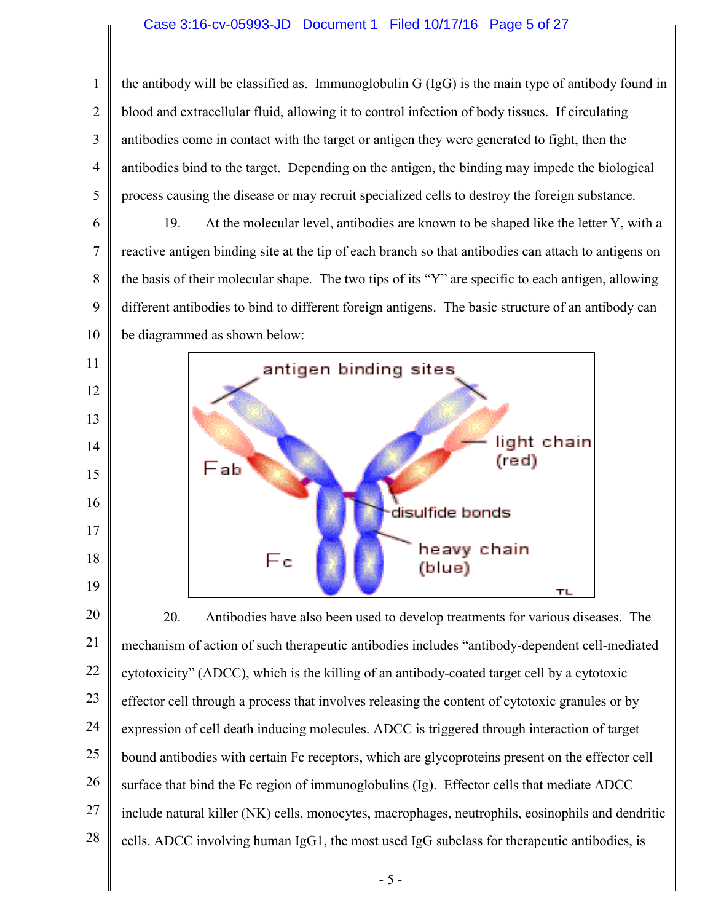## Case 3:16-cv-05993-JD Document 1 Filed 10/17/16 Page 5 of 27

1 2 3 4 5 the antibody will be classified as. Immunoglobulin G (IgG) is the main type of antibody found in blood and extracellular fluid, allowing it to control infection of body tissues. If circulating antibodies come in contact with the target or antigen they were generated to fight, then the antibodies bind to the target. Depending on the antigen, the binding may impede the biological process causing the disease or may recruit specialized cells to destroy the foreign substance.

6 7 8 9 10 19. At the molecular level, antibodies are known to be shaped like the letter Y, with a reactive antigen binding site at the tip of each branch so that antibodies can attach to antigens on the basis of their molecular shape. The two tips of its "Y" are specific to each antigen, allowing different antibodies to bind to different foreign antigens. The basic structure of an antibody can be diagrammed as shown below:



20 21 22 23 24 25 26 27 28 20. Antibodies have also been used to develop treatments for various diseases. The mechanism of action of such therapeutic antibodies includes "antibody-dependent cell-mediated cytotoxicity" (ADCC), which is the killing of an antibody-coated target cell by a cytotoxic effector cell through a process that involves releasing the content of cytotoxic granules or by expression of cell death inducing molecules. ADCC is triggered through interaction of target bound antibodies with certain Fc receptors, which are glycoproteins present on the effector cell surface that bind the Fc region of immunoglobulins (Ig). Effector cells that mediate ADCC include natural killer (NK) cells, monocytes, macrophages, neutrophils, eosinophils and dendritic cells. ADCC involving human  $IgG1$ , the most used IgG subclass for therapeutic antibodies, is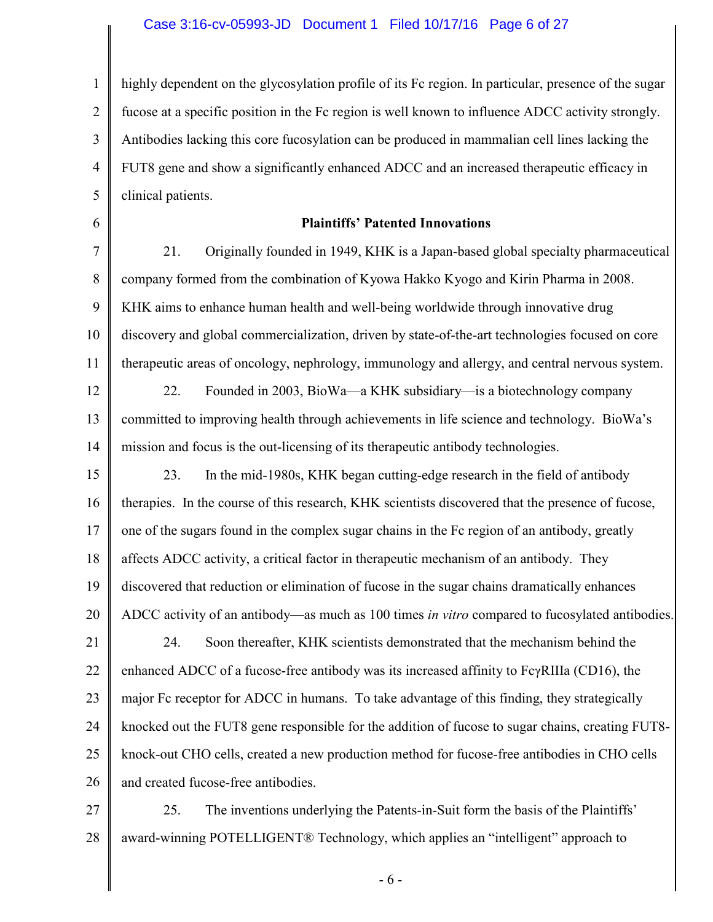#### Case 3:16-cv-05993-JD Document 1 Filed 10/17/16 Page 6 of 27

1 2 3 4 5 highly dependent on the glycosylation profile of its Fc region. In particular, presence of the sugar fucose at a specific position in the Fc region is well known to influence ADCC activity strongly. Antibodies lacking this core fucosylation can be produced in mammalian cell lines lacking the FUT8 gene and show a significantly enhanced ADCC and an increased therapeutic efficacy in clinical patients.

6

#### **Plaintiffs' Patented Innovations**

7 8 9 10 11 21. Originally founded in 1949, KHK is a Japan-based global specialty pharmaceutical company formed from the combination of Kyowa Hakko Kyogo and Kirin Pharma in 2008. KHK aims to enhance human health and well-being worldwide through innovative drug discovery and global commercialization, driven by state-of-the-art technologies focused on core therapeutic areas of oncology, nephrology, immunology and allergy, and central nervous system.

12 13 14 22. Founded in 2003, BioWa—a KHK subsidiary—is a biotechnology company committed to improving health through achievements in life science and technology. BioWa's mission and focus is the out-licensing of its therapeutic antibody technologies.

15 16 17 18 19 20 23. In the mid-1980s, KHK began cutting-edge research in the field of antibody therapies. In the course of this research, KHK scientists discovered that the presence of fucose, one of the sugars found in the complex sugar chains in the Fc region of an antibody, greatly affects ADCC activity, a critical factor in therapeutic mechanism of an antibody. They discovered that reduction or elimination of fucose in the sugar chains dramatically enhances ADCC activity of an antibody—as much as 100 times *in vitro* compared to fucosylated antibodies.

21 22 23 24 25 26 24. Soon thereafter, KHK scientists demonstrated that the mechanism behind the enhanced ADCC of a fucose-free antibody was its increased affinity to  $Fc\gamma$ RIIIa (CD16), the major Fc receptor for ADCC in humans. To take advantage of this finding, they strategically knocked out the FUT8 gene responsible for the addition of fucose to sugar chains, creating FUT8 knock-out CHO cells, created a new production method for fucose-free antibodies in CHO cells and created fucose-free antibodies.

27 28 25. The inventions underlying the Patents-in-Suit form the basis of the Plaintiffs' award-winning POTELLIGENT® Technology, which applies an "intelligent" approach to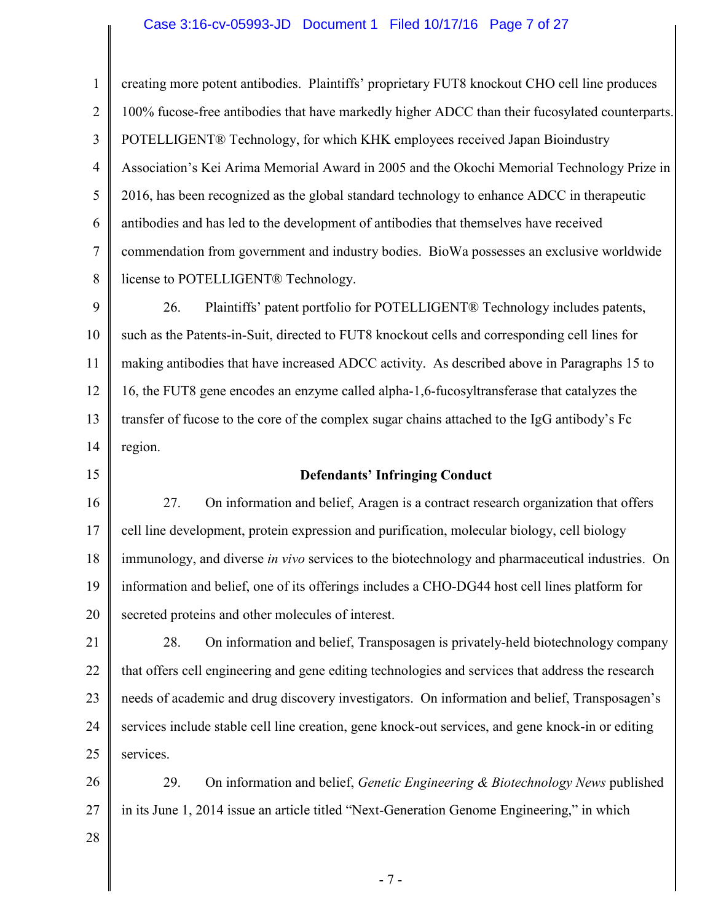#### Case 3:16-cv-05993-JD Document 1 Filed 10/17/16 Page 7 of 27

1 2 3 4 5 6 7 8 creating more potent antibodies. Plaintiffs' proprietary FUT8 knockout CHO cell line produces 100% fucose-free antibodies that have markedly higher ADCC than their fucosylated counterparts. POTELLIGENT® Technology, for which KHK employees received Japan Bioindustry Association's Kei Arima Memorial Award in 2005 and the Okochi Memorial Technology Prize in 2016, has been recognized as the global standard technology to enhance ADCC in therapeutic antibodies and has led to the development of antibodies that themselves have received commendation from government and industry bodies. BioWa possesses an exclusive worldwide license to POTELLIGENT® Technology.

9 10 11 12 13 14 26. Plaintiffs' patent portfolio for POTELLIGENT® Technology includes patents, such as the Patents-in-Suit, directed to FUT8 knockout cells and corresponding cell lines for making antibodies that have increased ADCC activity. As described above in Paragraphs 15 to 16, the FUT8 gene encodes an enzyme called alpha-1,6-fucosyltransferase that catalyzes the transfer of fucose to the core of the complex sugar chains attached to the IgG antibody's Fc region.

15

#### **Defendants' Infringing Conduct**

16 17 18 19 20 27. On information and belief, Aragen is a contract research organization that offers cell line development, protein expression and purification, molecular biology, cell biology immunology, and diverse *in vivo* services to the biotechnology and pharmaceutical industries. On information and belief, one of its offerings includes a CHO-DG44 host cell lines platform for secreted proteins and other molecules of interest.

21 22 23 24 25 28. On information and belief, Transposagen is privately-held biotechnology company that offers cell engineering and gene editing technologies and services that address the research needs of academic and drug discovery investigators. On information and belief, Transposagen's services include stable cell line creation, gene knock-out services, and gene knock-in or editing services.

26 27 29. On information and belief, *Genetic Engineering & Biotechnology News* published in its June 1, 2014 issue an article titled "Next-Generation Genome Engineering," in which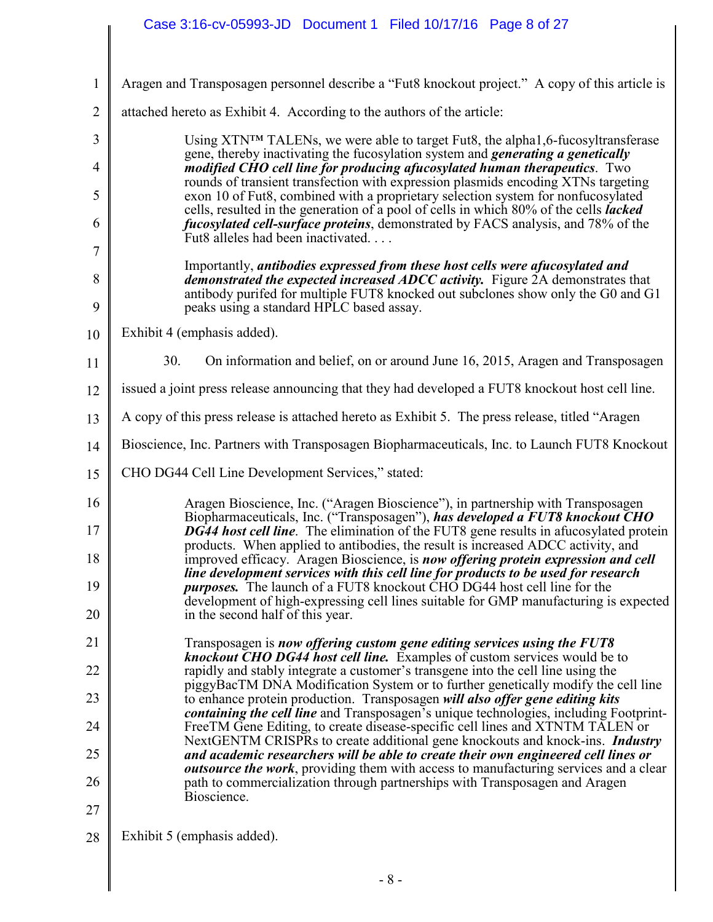|                     | Case 3:16-cv-05993-JD  Document 1  Filed 10/17/16  Page 8 of 27                                                                                                                                                                                                                                               |  |  |  |  |
|---------------------|---------------------------------------------------------------------------------------------------------------------------------------------------------------------------------------------------------------------------------------------------------------------------------------------------------------|--|--|--|--|
|                     |                                                                                                                                                                                                                                                                                                               |  |  |  |  |
| $\mathbf{1}$        | Aragen and Transposagen personnel describe a "Fut8 knockout project." A copy of this article is                                                                                                                                                                                                               |  |  |  |  |
| $\overline{2}$      | attached hereto as Exhibit 4. According to the authors of the article:                                                                                                                                                                                                                                        |  |  |  |  |
| 3                   | Using $XTN^{TM}$ TALENs, we were able to target Fut8, the alpha1,6-fucosyltransferase<br>gene, thereby inactivating the fucosylation system and <i>generating a genetically</i>                                                                                                                               |  |  |  |  |
| $\overline{4}$<br>5 | <i>modified CHO cell line for producing afucosylated human therapeutics.</i> Two<br>rounds of transient transfection with expression plasmids encoding XTNs targeting<br>exon 10 of Fut8, combined with a proprietary selection system for nonfucosylated                                                     |  |  |  |  |
| 6                   | cells, resulted in the generation of a pool of cells in which 80% of the cells <i>lacked</i><br><i>fucosylated cell-surface proteins</i> , demonstrated by FACS analysis, and 78% of the                                                                                                                      |  |  |  |  |
| 7                   | Fut8 alleles had been inactivated                                                                                                                                                                                                                                                                             |  |  |  |  |
| 8<br>9              | Importantly, <i>antibodies expressed from these host cells were afucosylated and</i><br><i>demonstrated the expected increased ADCC activity.</i> Figure 2A demonstrates that<br>antibody purifed for multiple FUT8 knocked out subclones show only the G0 and G1<br>peaks using a standard HPLC based assay. |  |  |  |  |
| 10                  | Exhibit 4 (emphasis added).                                                                                                                                                                                                                                                                                   |  |  |  |  |
| 11                  | 30.<br>On information and belief, on or around June 16, 2015, Aragen and Transposagen                                                                                                                                                                                                                         |  |  |  |  |
| 12                  | issued a joint press release announcing that they had developed a FUT8 knockout host cell line.                                                                                                                                                                                                               |  |  |  |  |
| 13                  | A copy of this press release is attached hereto as Exhibit 5. The press release, titled "Aragen"                                                                                                                                                                                                              |  |  |  |  |
| 14                  | Bioscience, Inc. Partners with Transposagen Biopharmaceuticals, Inc. to Launch FUT8 Knockout                                                                                                                                                                                                                  |  |  |  |  |
| 15                  | CHO DG44 Cell Line Development Services," stated:                                                                                                                                                                                                                                                             |  |  |  |  |
| 16                  | Aragen Bioscience, Inc. ("Aragen Bioscience"), in partnership with Transposagen<br>Biopharmaceuticals, Inc. ("Transposagen"), has developed a FUT8 knockout CHO                                                                                                                                               |  |  |  |  |
| 17                  | <b>DG44 host cell line.</b> The elimination of the FUT8 gene results in afucosylated protein<br>products. When applied to antibodies, the result is increased ADCC activity, and                                                                                                                              |  |  |  |  |
| 18                  | improved efficacy. Aragen Bioscience, is now offering protein expression and cell<br>line development services with this cell line for products to be used for research                                                                                                                                       |  |  |  |  |
| 19                  | <i>purposes.</i> The launch of a FUT8 knockout CHO DG44 host cell line for the<br>development of high-expressing cell lines suitable for GMP manufacturing is expected                                                                                                                                        |  |  |  |  |
| 20                  | in the second half of this year.                                                                                                                                                                                                                                                                              |  |  |  |  |
| 21                  | Transposagen is now offering custom gene editing services using the FUT8<br><b>knockout CHO DG44 host cell line.</b> Examples of custom services would be to                                                                                                                                                  |  |  |  |  |
| 22                  | rapidly and stably integrate a customer's transgene into the cell line using the<br>piggyBacTM DNA Modification System or to further genetically modify the cell line                                                                                                                                         |  |  |  |  |
| 23                  | to enhance protein production. Transposagen will also offer gene editing kits<br><i>containing the cell line</i> and Transposagen's unique technologies, including Footprint-                                                                                                                                 |  |  |  |  |
| 24<br>25            | Free TM Gene Editing, to create disease-specific cell lines and XTNTM TALEN or<br>NextGENTM CRISPRs to create additional gene knockouts and knock-ins. <i>Industry</i>                                                                                                                                        |  |  |  |  |
| 26                  | and academic researchers will be able to create their own engineered cell lines or<br><b><i>outsource the work</i></b> , providing them with access to manufacturing services and a clear<br>path to commercialization through partnerships with Transposagen and Aragen                                      |  |  |  |  |
| 27                  | Bioscience.                                                                                                                                                                                                                                                                                                   |  |  |  |  |
| 28                  | Exhibit 5 (emphasis added).                                                                                                                                                                                                                                                                                   |  |  |  |  |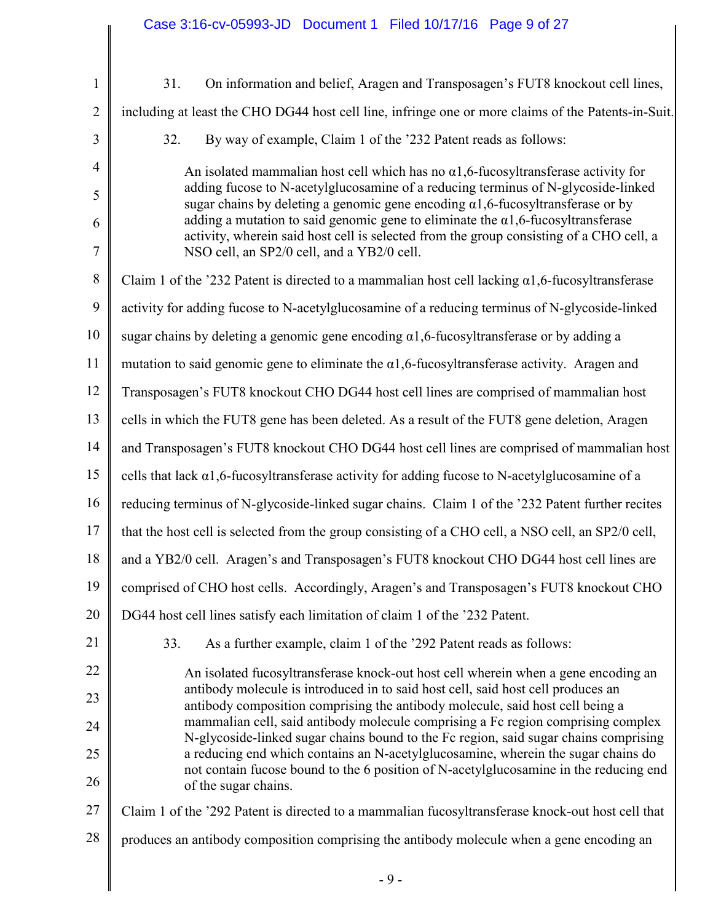|                | Case 3:16-cv-05993-JD  Document 1  Filed 10/17/16  Page 9 of 27                                                                                                                    |  |  |  |  |  |
|----------------|------------------------------------------------------------------------------------------------------------------------------------------------------------------------------------|--|--|--|--|--|
|                |                                                                                                                                                                                    |  |  |  |  |  |
| $\mathbf{1}$   | On information and belief, Aragen and Transposagen's FUT8 knockout cell lines,<br>31.                                                                                              |  |  |  |  |  |
| $\overline{2}$ | including at least the CHO DG44 host cell line, infringe one or more claims of the Patents-in-Suit.                                                                                |  |  |  |  |  |
| 3              | 32.<br>By way of example, Claim 1 of the '232 Patent reads as follows:                                                                                                             |  |  |  |  |  |
| $\overline{4}$ | An isolated mammalian host cell which has no $\alpha$ 1,6-fucosyltransferase activity for                                                                                          |  |  |  |  |  |
| 5              | adding fucose to N-acetylglucosamine of a reducing terminus of N-glycoside-linked<br>sugar chains by deleting a genomic gene encoding $\alpha$ 1,6-fucosyltransferase or by        |  |  |  |  |  |
| 6              | adding a mutation to said genomic gene to eliminate the $\alpha$ 1,6-fucosyltransferase<br>activity, wherein said host cell is selected from the group consisting of a CHO cell, a |  |  |  |  |  |
| 7              | NSO cell, an SP2/0 cell, and a YB2/0 cell.                                                                                                                                         |  |  |  |  |  |
| 8              | Claim 1 of the '232 Patent is directed to a mammalian host cell lacking $\alpha$ 1,6-fucosyltransferase                                                                            |  |  |  |  |  |
| 9              | activity for adding fucose to N-acetylglucosamine of a reducing terminus of N-glycoside-linked                                                                                     |  |  |  |  |  |
| 10             | sugar chains by deleting a genomic gene encoding $\alpha$ 1,6-fucosyltransferase or by adding a                                                                                    |  |  |  |  |  |
| 11             | mutation to said genomic gene to eliminate the $\alpha$ 1,6-fucosyltransferase activity. Aragen and                                                                                |  |  |  |  |  |
| 12             | Transposagen's FUT8 knockout CHO DG44 host cell lines are comprised of mammalian host                                                                                              |  |  |  |  |  |
| 13             | cells in which the FUT8 gene has been deleted. As a result of the FUT8 gene deletion, Aragen                                                                                       |  |  |  |  |  |
| 14             | and Transposagen's FUT8 knockout CHO DG44 host cell lines are comprised of mammalian host                                                                                          |  |  |  |  |  |
| 15             | cells that lack $\alpha$ 1,6-fucosyltransferase activity for adding fucose to N-acetylglucosamine of a                                                                             |  |  |  |  |  |
| 16             | reducing terminus of N-glycoside-linked sugar chains. Claim 1 of the '232 Patent further recites                                                                                   |  |  |  |  |  |
| 17             | that the host cell is selected from the group consisting of a CHO cell, a NSO cell, an SP2/0 cell,                                                                                 |  |  |  |  |  |
| 18             | and a YB2/0 cell. Aragen's and Transposagen's FUT8 knockout CHO DG44 host cell lines are                                                                                           |  |  |  |  |  |
| 19             | comprised of CHO host cells. Accordingly, Aragen's and Transposagen's FUT8 knockout CHO                                                                                            |  |  |  |  |  |
| 20             | DG44 host cell lines satisfy each limitation of claim 1 of the '232 Patent.                                                                                                        |  |  |  |  |  |
| 21             | As a further example, claim 1 of the '292 Patent reads as follows:<br>33.                                                                                                          |  |  |  |  |  |
| 22             | An isolated fucosyltransferase knock-out host cell wherein when a gene encoding an                                                                                                 |  |  |  |  |  |
| 23             | antibody molecule is introduced in to said host cell, said host cell produces an<br>antibody composition comprising the antibody molecule, said host cell being a                  |  |  |  |  |  |
| 24             | mammalian cell, said antibody molecule comprising a Fc region comprising complex<br>N-glycoside-linked sugar chains bound to the Fc region, said sugar chains comprising           |  |  |  |  |  |
| 25             | a reducing end which contains an N-acetylglucosamine, wherein the sugar chains do                                                                                                  |  |  |  |  |  |
| 26             | not contain fucose bound to the 6 position of N-acetylglucosamine in the reducing end<br>of the sugar chains.                                                                      |  |  |  |  |  |
| 27             | Claim 1 of the '292 Patent is directed to a mammalian fucosyltransferase knock-out host cell that                                                                                  |  |  |  |  |  |
| 28             | produces an antibody composition comprising the antibody molecule when a gene encoding an                                                                                          |  |  |  |  |  |
|                | $-9-$                                                                                                                                                                              |  |  |  |  |  |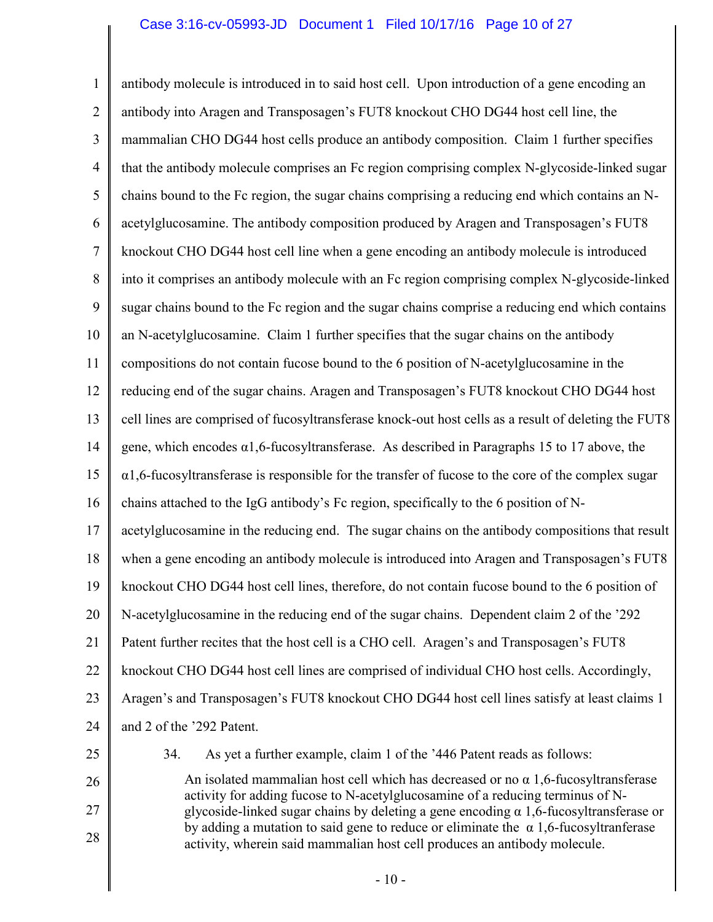#### Case 3:16-cv-05993-JD Document 1 Filed 10/17/16 Page 10 of 27

1 2 3 4 5 6 7 8 9 10 11 12 13 14 15 16 17 18 19 20 21 22 23 24 25 antibody molecule is introduced in to said host cell. Upon introduction of a gene encoding an antibody into Aragen and Transposagen's FUT8 knockout CHO DG44 host cell line, the mammalian CHO DG44 host cells produce an antibody composition. Claim 1 further specifies that the antibody molecule comprises an Fc region comprising complex N-glycoside-linked sugar chains bound to the Fc region, the sugar chains comprising a reducing end which contains an Nacetylglucosamine. The antibody composition produced by Aragen and Transposagen's FUT8 knockout CHO DG44 host cell line when a gene encoding an antibody molecule is introduced into it comprises an antibody molecule with an Fc region comprising complex N-glycoside-linked sugar chains bound to the Fc region and the sugar chains comprise a reducing end which contains an N-acetylglucosamine. Claim 1 further specifies that the sugar chains on the antibody compositions do not contain fucose bound to the 6 position of N-acetylglucosamine in the reducing end of the sugar chains. Aragen and Transposagen's FUT8 knockout CHO DG44 host cell lines are comprised of fucosyltransferase knock-out host cells as a result of deleting the FUT8 gene, which encodes  $\alpha$ 1,6-fucosyltransferase. As described in Paragraphs 15 to 17 above, the  $\alpha$ 1,6-fucosyltransferase is responsible for the transfer of fucose to the core of the complex sugar chains attached to the IgG antibody's Fc region, specifically to the 6 position of Nacetylglucosamine in the reducing end. The sugar chains on the antibody compositions that result when a gene encoding an antibody molecule is introduced into Aragen and Transposagen's FUT8 knockout CHO DG44 host cell lines, therefore, do not contain fucose bound to the 6 position of N-acetylglucosamine in the reducing end of the sugar chains. Dependent claim 2 of the '292 Patent further recites that the host cell is a CHO cell. Aragen's and Transposagen's FUT8 knockout CHO DG44 host cell lines are comprised of individual CHO host cells. Accordingly, Aragen's and Transposagen's FUT8 knockout CHO DG44 host cell lines satisfy at least claims 1 and 2 of the '292 Patent.

26

27

28

34. As yet a further example, claim 1 of the '446 Patent reads as follows:

An isolated mammalian host cell which has decreased or no  $\alpha$  1,6-fucosyltransferase activity for adding fucose to N-acetylglucosamine of a reducing terminus of Nglycoside-linked sugar chains by deleting a gene encoding  $\alpha$  1,6-fucosyltransferase or by adding a mutation to said gene to reduce or eliminate the  $\alpha$  1,6-fucosyltranferase activity, wherein said mammalian host cell produces an antibody molecule.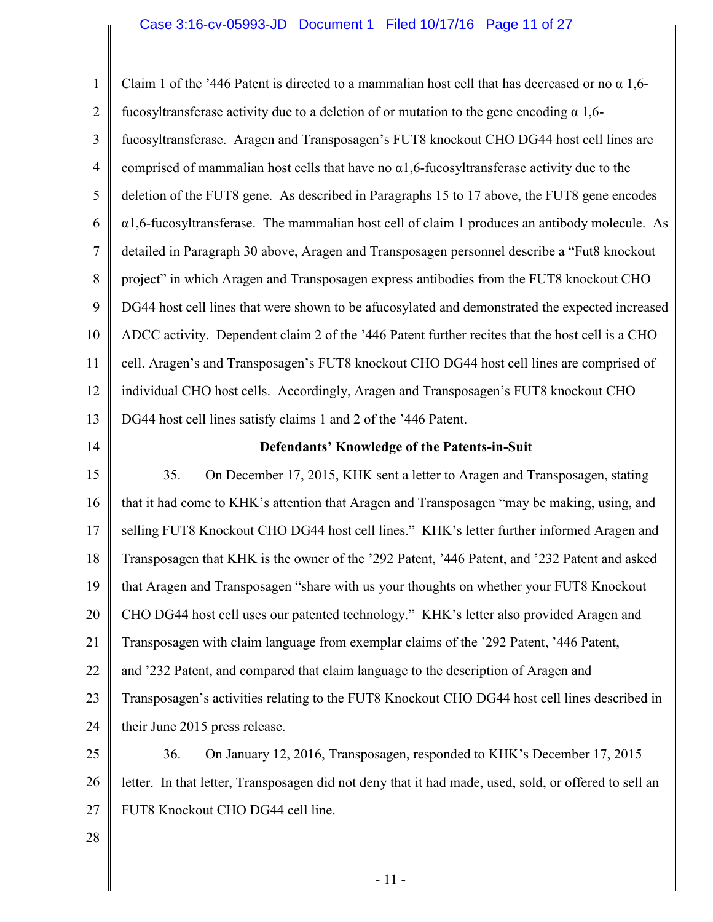## Case 3:16-cv-05993-JD Document 1 Filed 10/17/16 Page 11 of 27

1 2 3 4 5 6 7 8 9 10 11 12 13 14 15 16 17 Claim 1 of the '446 Patent is directed to a mammalian host cell that has decreased or no  $\alpha$  1,6fucosyltransferase activity due to a deletion of or mutation to the gene encoding  $\alpha$  1,6fucosyltransferase. Aragen and Transposagen's FUT8 knockout CHO DG44 host cell lines are comprised of mammalian host cells that have no  $\alpha$ 1,6-fucosyltransferase activity due to the deletion of the FUT8 gene. As described in Paragraphs 15 to 17 above, the FUT8 gene encodes α1,6-fucosyltransferase. The mammalian host cell of claim 1 produces an antibody molecule. As detailed in Paragraph 30 above, Aragen and Transposagen personnel describe a "Fut8 knockout project" in which Aragen and Transposagen express antibodies from the FUT8 knockout CHO DG44 host cell lines that were shown to be afucosylated and demonstrated the expected increased ADCC activity. Dependent claim 2 of the '446 Patent further recites that the host cell is a CHO cell. Aragen's and Transposagen's FUT8 knockout CHO DG44 host cell lines are comprised of individual CHO host cells. Accordingly, Aragen and Transposagen's FUT8 knockout CHO DG44 host cell lines satisfy claims 1 and 2 of the '446 Patent. **Defendants' Knowledge of the Patents-in-Suit** 35. On December 17, 2015, KHK sent a letter to Aragen and Transposagen, stating that it had come to KHK's attention that Aragen and Transposagen "may be making, using, and selling FUT8 Knockout CHO DG44 host cell lines." KHK's letter further informed Aragen and

18 Transposagen that KHK is the owner of the '292 Patent, '446 Patent, and '232 Patent and asked

19 that Aragen and Transposagen "share with us your thoughts on whether your FUT8 Knockout

20 CHO DG44 host cell uses our patented technology." KHK's letter also provided Aragen and

21 Transposagen with claim language from exemplar claims of the '292 Patent, '446 Patent,

22 and '232 Patent, and compared that claim language to the description of Aragen and

23 24 Transposagen's activities relating to the FUT8 Knockout CHO DG44 host cell lines described in their June 2015 press release.

25 26 27 36. On January 12, 2016, Transposagen, responded to KHK's December 17, 2015 letter. In that letter, Transposagen did not deny that it had made, used, sold, or offered to sell an FUT8 Knockout CHO DG44 cell line.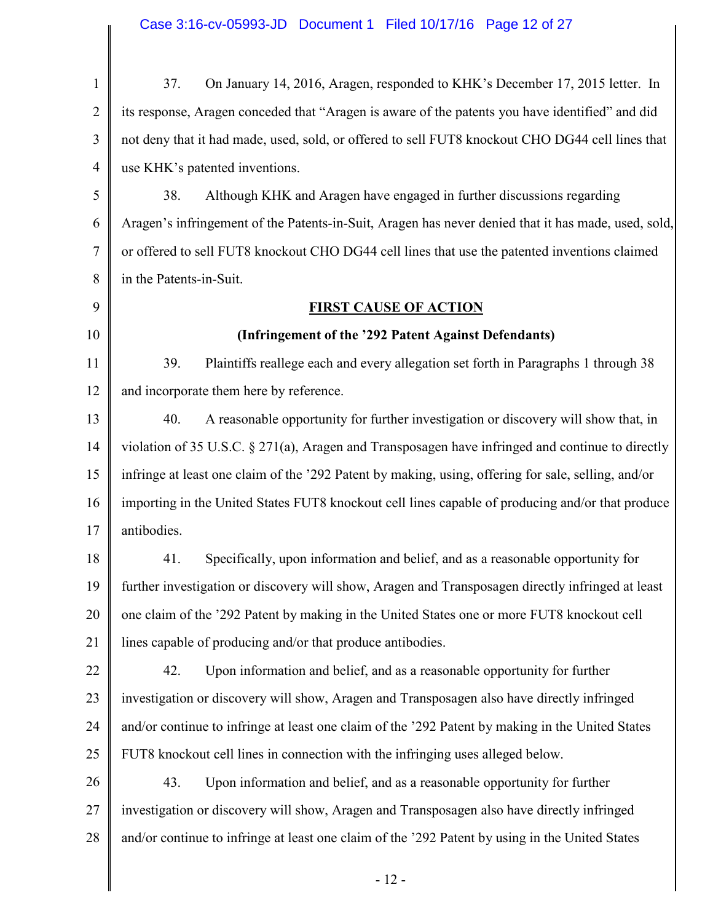| $\mathbf{1}$   | On January 14, 2016, Aragen, responded to KHK's December 17, 2015 letter. In<br>37.                 |  |  |  |  |
|----------------|-----------------------------------------------------------------------------------------------------|--|--|--|--|
| $\overline{2}$ | its response, Aragen conceded that "Aragen is aware of the patents you have identified" and did     |  |  |  |  |
| 3              | not deny that it had made, used, sold, or offered to sell FUT8 knockout CHO DG44 cell lines that    |  |  |  |  |
| $\overline{4}$ | use KHK's patented inventions.                                                                      |  |  |  |  |
| 5              | Although KHK and Aragen have engaged in further discussions regarding<br>38.                        |  |  |  |  |
| 6              | Aragen's infringement of the Patents-in-Suit, Aragen has never denied that it has made, used, sold, |  |  |  |  |
| 7              | or offered to sell FUT8 knockout CHO DG44 cell lines that use the patented inventions claimed       |  |  |  |  |
| 8              | in the Patents-in-Suit.                                                                             |  |  |  |  |
| 9              | <b>FIRST CAUSE OF ACTION</b>                                                                        |  |  |  |  |
| 10             | (Infringement of the '292 Patent Against Defendants)                                                |  |  |  |  |
| 11             | Plaintiffs reallege each and every allegation set forth in Paragraphs 1 through 38<br>39.           |  |  |  |  |
| 12             | and incorporate them here by reference.                                                             |  |  |  |  |
| 13             | A reasonable opportunity for further investigation or discovery will show that, in<br>40.           |  |  |  |  |
| 14             | violation of 35 U.S.C. § 271(a), Aragen and Transposagen have infringed and continue to directly    |  |  |  |  |
| 15             | infringe at least one claim of the '292 Patent by making, using, offering for sale, selling, and/or |  |  |  |  |
| 16             | importing in the United States FUT8 knockout cell lines capable of producing and/or that produce    |  |  |  |  |
| 17             | antibodies.                                                                                         |  |  |  |  |
| 18             | Specifically, upon information and belief, and as a reasonable opportunity for<br>41.               |  |  |  |  |
| 19             | further investigation or discovery will show, Aragen and Transposagen directly infringed at least   |  |  |  |  |
| 20             | one claim of the '292 Patent by making in the United States one or more FUT8 knockout cell          |  |  |  |  |
| 21             | lines capable of producing and/or that produce antibodies.                                          |  |  |  |  |
| 22             | 42.<br>Upon information and belief, and as a reasonable opportunity for further                     |  |  |  |  |
| 23             | investigation or discovery will show, Aragen and Transposagen also have directly infringed          |  |  |  |  |
| 24             | and/or continue to infringe at least one claim of the '292 Patent by making in the United States    |  |  |  |  |
| 25             | FUT8 knockout cell lines in connection with the infringing uses alleged below.                      |  |  |  |  |
| 26             | 43.<br>Upon information and belief, and as a reasonable opportunity for further                     |  |  |  |  |
| 27             | investigation or discovery will show, Aragen and Transposagen also have directly infringed          |  |  |  |  |
| 28             | and/or continue to infringe at least one claim of the '292 Patent by using in the United States     |  |  |  |  |
|                | $-12-$                                                                                              |  |  |  |  |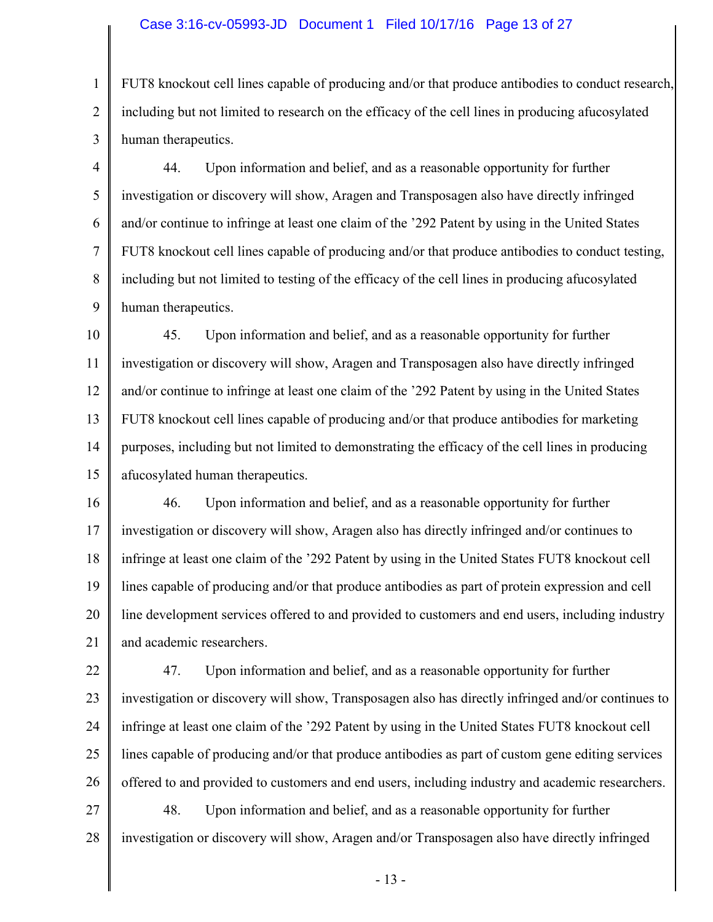#### Case 3:16-cv-05993-JD Document 1 Filed 10/17/16 Page 13 of 27

1 2 3 FUT8 knockout cell lines capable of producing and/or that produce antibodies to conduct research, including but not limited to research on the efficacy of the cell lines in producing afucosylated human therapeutics.

4 5 6 7 8 9 44. Upon information and belief, and as a reasonable opportunity for further investigation or discovery will show, Aragen and Transposagen also have directly infringed and/or continue to infringe at least one claim of the '292 Patent by using in the United States FUT8 knockout cell lines capable of producing and/or that produce antibodies to conduct testing, including but not limited to testing of the efficacy of the cell lines in producing afucosylated human therapeutics.

10 11 12 13 14 15 45. Upon information and belief, and as a reasonable opportunity for further investigation or discovery will show, Aragen and Transposagen also have directly infringed and/or continue to infringe at least one claim of the '292 Patent by using in the United States FUT8 knockout cell lines capable of producing and/or that produce antibodies for marketing purposes, including but not limited to demonstrating the efficacy of the cell lines in producing afucosylated human therapeutics.

16 17 18 19 20 21 46. Upon information and belief, and as a reasonable opportunity for further investigation or discovery will show, Aragen also has directly infringed and/or continues to infringe at least one claim of the '292 Patent by using in the United States FUT8 knockout cell lines capable of producing and/or that produce antibodies as part of protein expression and cell line development services offered to and provided to customers and end users, including industry and academic researchers.

22 23 24 25 26 47. Upon information and belief, and as a reasonable opportunity for further investigation or discovery will show, Transposagen also has directly infringed and/or continues to infringe at least one claim of the '292 Patent by using in the United States FUT8 knockout cell lines capable of producing and/or that produce antibodies as part of custom gene editing services offered to and provided to customers and end users, including industry and academic researchers.

27 28 48. Upon information and belief, and as a reasonable opportunity for further investigation or discovery will show, Aragen and/or Transposagen also have directly infringed

- 13 -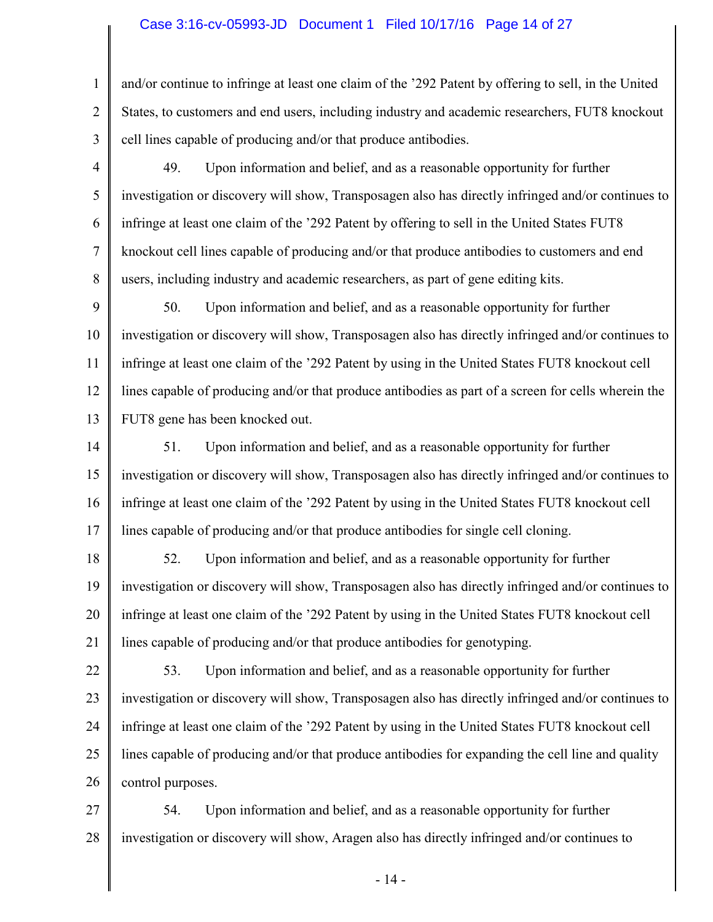## Case 3:16-cv-05993-JD Document 1 Filed 10/17/16 Page 14 of 27

1 2 3 and/or continue to infringe at least one claim of the '292 Patent by offering to sell, in the United States, to customers and end users, including industry and academic researchers, FUT8 knockout cell lines capable of producing and/or that produce antibodies.

4 5

6

7

8

49. Upon information and belief, and as a reasonable opportunity for further investigation or discovery will show, Transposagen also has directly infringed and/or continues to infringe at least one claim of the '292 Patent by offering to sell in the United States FUT8 knockout cell lines capable of producing and/or that produce antibodies to customers and end users, including industry and academic researchers, as part of gene editing kits.

9 10 11 12 13 50. Upon information and belief, and as a reasonable opportunity for further investigation or discovery will show, Transposagen also has directly infringed and/or continues to infringe at least one claim of the '292 Patent by using in the United States FUT8 knockout cell lines capable of producing and/or that produce antibodies as part of a screen for cells wherein the FUT8 gene has been knocked out.

14 15 16 17 51. Upon information and belief, and as a reasonable opportunity for further investigation or discovery will show, Transposagen also has directly infringed and/or continues to infringe at least one claim of the '292 Patent by using in the United States FUT8 knockout cell lines capable of producing and/or that produce antibodies for single cell cloning.

18 19 20 21 52. Upon information and belief, and as a reasonable opportunity for further investigation or discovery will show, Transposagen also has directly infringed and/or continues to infringe at least one claim of the '292 Patent by using in the United States FUT8 knockout cell lines capable of producing and/or that produce antibodies for genotyping.

22 23 24 25 26 53. Upon information and belief, and as a reasonable opportunity for further investigation or discovery will show, Transposagen also has directly infringed and/or continues to infringe at least one claim of the '292 Patent by using in the United States FUT8 knockout cell lines capable of producing and/or that produce antibodies for expanding the cell line and quality control purposes.

27 28 54. Upon information and belief, and as a reasonable opportunity for further investigation or discovery will show, Aragen also has directly infringed and/or continues to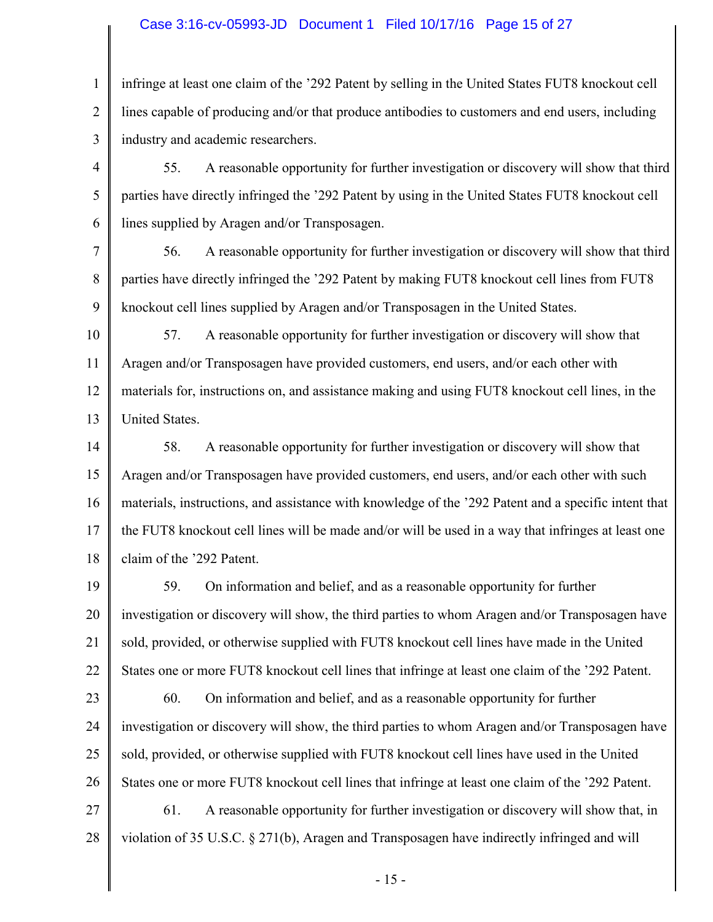#### Case 3:16-cv-05993-JD Document 1 Filed 10/17/16 Page 15 of 27

1 2 3 infringe at least one claim of the '292 Patent by selling in the United States FUT8 knockout cell lines capable of producing and/or that produce antibodies to customers and end users, including industry and academic researchers.

4 5 6 55. A reasonable opportunity for further investigation or discovery will show that third parties have directly infringed the '292 Patent by using in the United States FUT8 knockout cell lines supplied by Aragen and/or Transposagen.

7 8 9 56. A reasonable opportunity for further investigation or discovery will show that third parties have directly infringed the '292 Patent by making FUT8 knockout cell lines from FUT8 knockout cell lines supplied by Aragen and/or Transposagen in the United States.

10 11 12 13 57. A reasonable opportunity for further investigation or discovery will show that Aragen and/or Transposagen have provided customers, end users, and/or each other with materials for, instructions on, and assistance making and using FUT8 knockout cell lines, in the United States.

14 15 16 17 18 58. A reasonable opportunity for further investigation or discovery will show that Aragen and/or Transposagen have provided customers, end users, and/or each other with such materials, instructions, and assistance with knowledge of the '292 Patent and a specific intent that the FUT8 knockout cell lines will be made and/or will be used in a way that infringes at least one claim of the '292 Patent.

19 20 21 22 59. On information and belief, and as a reasonable opportunity for further investigation or discovery will show, the third parties to whom Aragen and/or Transposagen have sold, provided, or otherwise supplied with FUT8 knockout cell lines have made in the United States one or more FUT8 knockout cell lines that infringe at least one claim of the '292 Patent.

23

24

25

26

60. On information and belief, and as a reasonable opportunity for further investigation or discovery will show, the third parties to whom Aragen and/or Transposagen have sold, provided, or otherwise supplied with FUT8 knockout cell lines have used in the United States one or more FUT8 knockout cell lines that infringe at least one claim of the '292 Patent.

27 28 61. A reasonable opportunity for further investigation or discovery will show that, in violation of 35 U.S.C. § 271(b), Aragen and Transposagen have indirectly infringed and will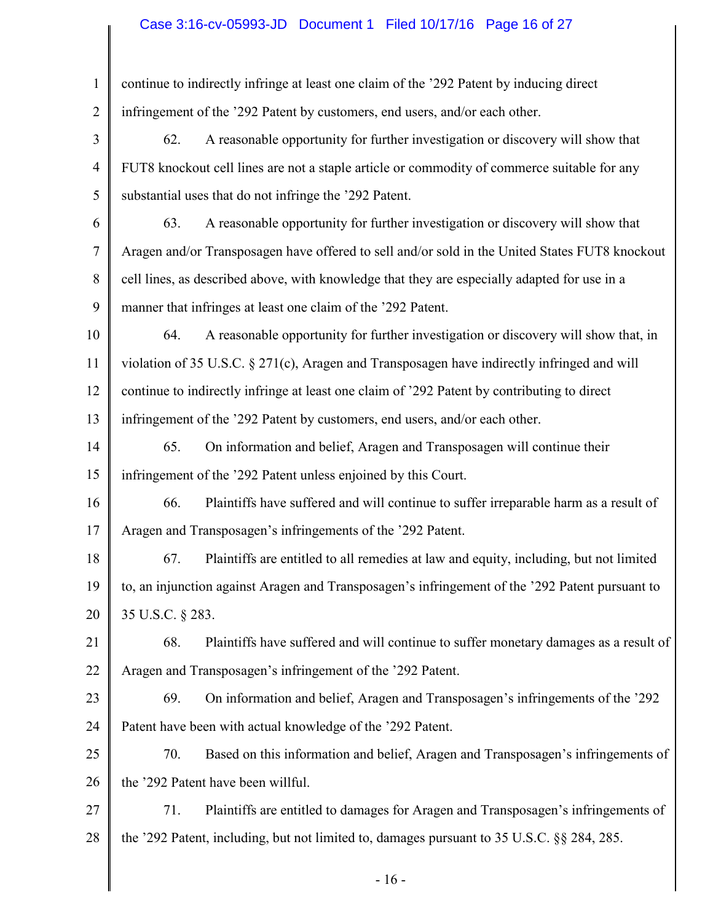# Case 3:16-cv-05993-JD Document 1 Filed 10/17/16 Page 16 of 27

 $\blacksquare$ 

| 1              | continue to indirectly infringe at least one claim of the '292 Patent by inducing direct        |  |  |  |  |
|----------------|-------------------------------------------------------------------------------------------------|--|--|--|--|
| $\overline{2}$ | infringement of the '292 Patent by customers, end users, and/or each other.                     |  |  |  |  |
| 3              | 62.<br>A reasonable opportunity for further investigation or discovery will show that           |  |  |  |  |
| $\overline{4}$ | FUT8 knockout cell lines are not a staple article or commodity of commerce suitable for any     |  |  |  |  |
| 5              | substantial uses that do not infringe the '292 Patent.                                          |  |  |  |  |
| 6              | 63.<br>A reasonable opportunity for further investigation or discovery will show that           |  |  |  |  |
| 7              | Aragen and/or Transposagen have offered to sell and/or sold in the United States FUT8 knockout  |  |  |  |  |
| 8              | cell lines, as described above, with knowledge that they are especially adapted for use in a    |  |  |  |  |
| 9              | manner that infringes at least one claim of the '292 Patent.                                    |  |  |  |  |
| 10             | A reasonable opportunity for further investigation or discovery will show that, in<br>64.       |  |  |  |  |
| 11             | violation of 35 U.S.C. § 271(c), Aragen and Transposagen have indirectly infringed and will     |  |  |  |  |
| 12             | continue to indirectly infringe at least one claim of '292 Patent by contributing to direct     |  |  |  |  |
| 13             | infringement of the '292 Patent by customers, end users, and/or each other.                     |  |  |  |  |
| 14             | 65.<br>On information and belief, Aragen and Transposagen will continue their                   |  |  |  |  |
| 15             | infringement of the '292 Patent unless enjoined by this Court.                                  |  |  |  |  |
| 16             | Plaintiffs have suffered and will continue to suffer irreparable harm as a result of<br>66.     |  |  |  |  |
| 17             | Aragen and Transposagen's infringements of the '292 Patent.                                     |  |  |  |  |
| 18             | 67.<br>Plaintiffs are entitled to all remedies at law and equity, including, but not limited    |  |  |  |  |
| 19             | to, an injunction against Aragen and Transposagen's infringement of the '292 Patent pursuant to |  |  |  |  |
| 20             | 35 U.S.C. § 283.                                                                                |  |  |  |  |
| 21             | 68.<br>Plaintiffs have suffered and will continue to suffer monetary damages as a result of     |  |  |  |  |
| 22             | Aragen and Transposagen's infringement of the '292 Patent.                                      |  |  |  |  |
| 23             | 69.<br>On information and belief, Aragen and Transposagen's infringements of the '292           |  |  |  |  |
| 24             | Patent have been with actual knowledge of the '292 Patent.                                      |  |  |  |  |
| 25             | 70.<br>Based on this information and belief, Aragen and Transposagen's infringements of         |  |  |  |  |
| 26             | the '292 Patent have been willful.                                                              |  |  |  |  |
| 27             | 71.<br>Plaintiffs are entitled to damages for Aragen and Transposagen's infringements of        |  |  |  |  |
| 28             | the '292 Patent, including, but not limited to, damages pursuant to 35 U.S.C. §§ 284, 285.      |  |  |  |  |
|                | $-16-$                                                                                          |  |  |  |  |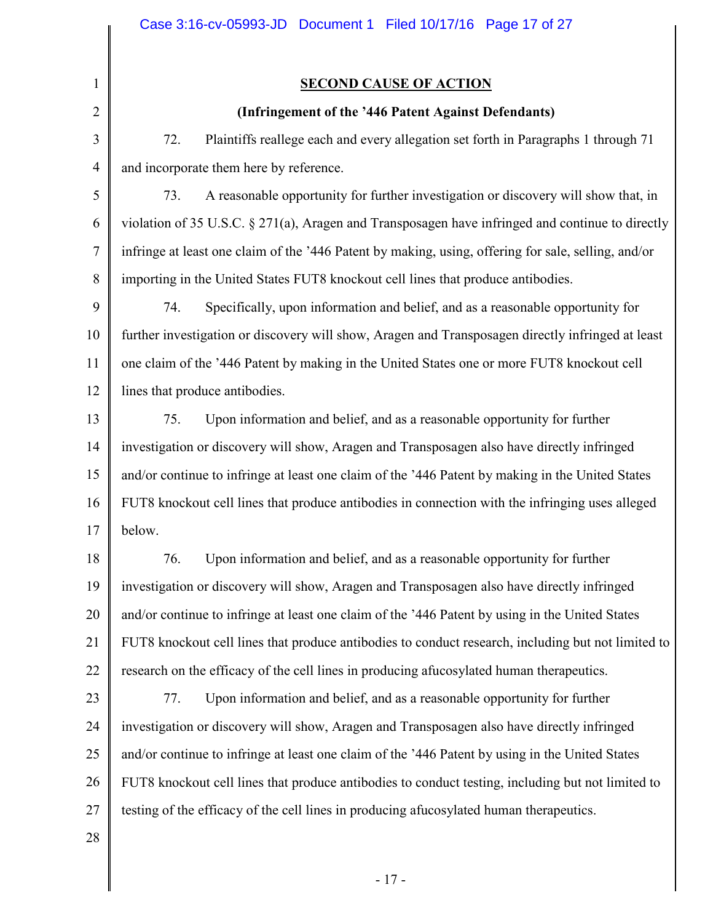# **SECOND CAUSE OF ACTION**

## **(Infringement of the '446 Patent Against Defendants)**

72. Plaintiffs reallege each and every allegation set forth in Paragraphs 1 through 71 and incorporate them here by reference.

73. A reasonable opportunity for further investigation or discovery will show that, in violation of 35 U.S.C. § 271(a), Aragen and Transposagen have infringed and continue to directly infringe at least one claim of the '446 Patent by making, using, offering for sale, selling, and/or importing in the United States FUT8 knockout cell lines that produce antibodies.

9 12 74. Specifically, upon information and belief, and as a reasonable opportunity for further investigation or discovery will show, Aragen and Transposagen directly infringed at least one claim of the '446 Patent by making in the United States one or more FUT8 knockout cell lines that produce antibodies.

13 14 15 16 17 75. Upon information and belief, and as a reasonable opportunity for further investigation or discovery will show, Aragen and Transposagen also have directly infringed and/or continue to infringe at least one claim of the '446 Patent by making in the United States FUT8 knockout cell lines that produce antibodies in connection with the infringing uses alleged below.

18 19 20 21 22 76. Upon information and belief, and as a reasonable opportunity for further investigation or discovery will show, Aragen and Transposagen also have directly infringed and/or continue to infringe at least one claim of the '446 Patent by using in the United States FUT8 knockout cell lines that produce antibodies to conduct research, including but not limited to research on the efficacy of the cell lines in producing afucosylated human therapeutics.

- 23 24 25 26 27 77. Upon information and belief, and as a reasonable opportunity for further investigation or discovery will show, Aragen and Transposagen also have directly infringed and/or continue to infringe at least one claim of the '446 Patent by using in the United States FUT8 knockout cell lines that produce antibodies to conduct testing, including but not limited to testing of the efficacy of the cell lines in producing afucosylated human therapeutics.
- 28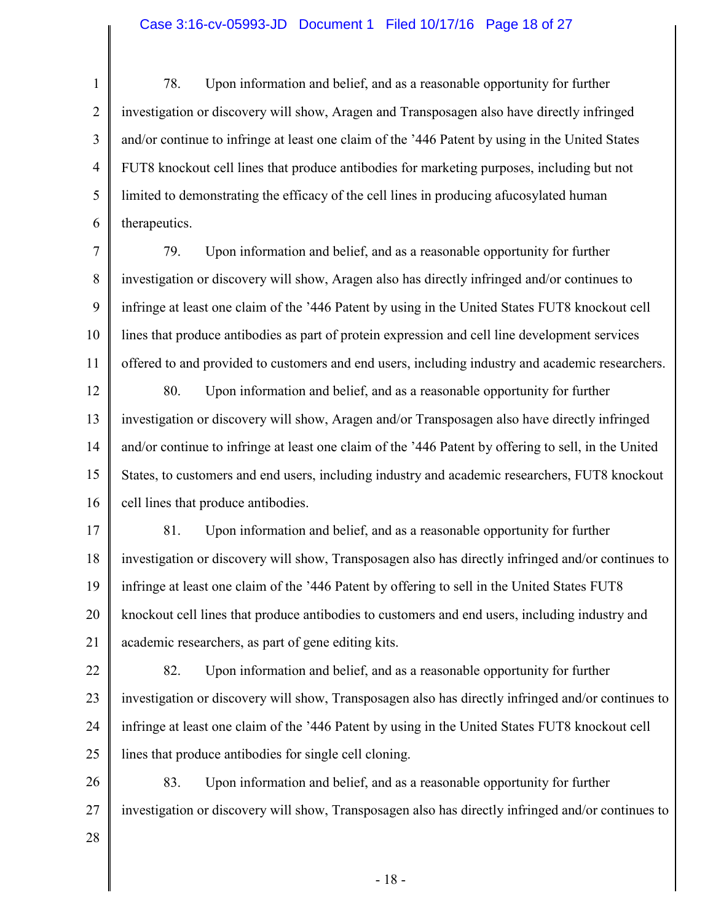1 2 3 4 5 6 78. Upon information and belief, and as a reasonable opportunity for further investigation or discovery will show, Aragen and Transposagen also have directly infringed and/or continue to infringe at least one claim of the '446 Patent by using in the United States FUT8 knockout cell lines that produce antibodies for marketing purposes, including but not limited to demonstrating the efficacy of the cell lines in producing afucosylated human therapeutics.

7 8 9 10 11 79. Upon information and belief, and as a reasonable opportunity for further investigation or discovery will show, Aragen also has directly infringed and/or continues to infringe at least one claim of the '446 Patent by using in the United States FUT8 knockout cell lines that produce antibodies as part of protein expression and cell line development services offered to and provided to customers and end users, including industry and academic researchers.

12 13 14 15 16 80. Upon information and belief, and as a reasonable opportunity for further investigation or discovery will show, Aragen and/or Transposagen also have directly infringed and/or continue to infringe at least one claim of the '446 Patent by offering to sell, in the United States, to customers and end users, including industry and academic researchers, FUT8 knockout cell lines that produce antibodies.

17 18 19 20 21 81. Upon information and belief, and as a reasonable opportunity for further investigation or discovery will show, Transposagen also has directly infringed and/or continues to infringe at least one claim of the '446 Patent by offering to sell in the United States FUT8 knockout cell lines that produce antibodies to customers and end users, including industry and academic researchers, as part of gene editing kits.

22 23 24 25 82. Upon information and belief, and as a reasonable opportunity for further investigation or discovery will show, Transposagen also has directly infringed and/or continues to infringe at least one claim of the '446 Patent by using in the United States FUT8 knockout cell lines that produce antibodies for single cell cloning.

26 27 83. Upon information and belief, and as a reasonable opportunity for further investigation or discovery will show, Transposagen also has directly infringed and/or continues to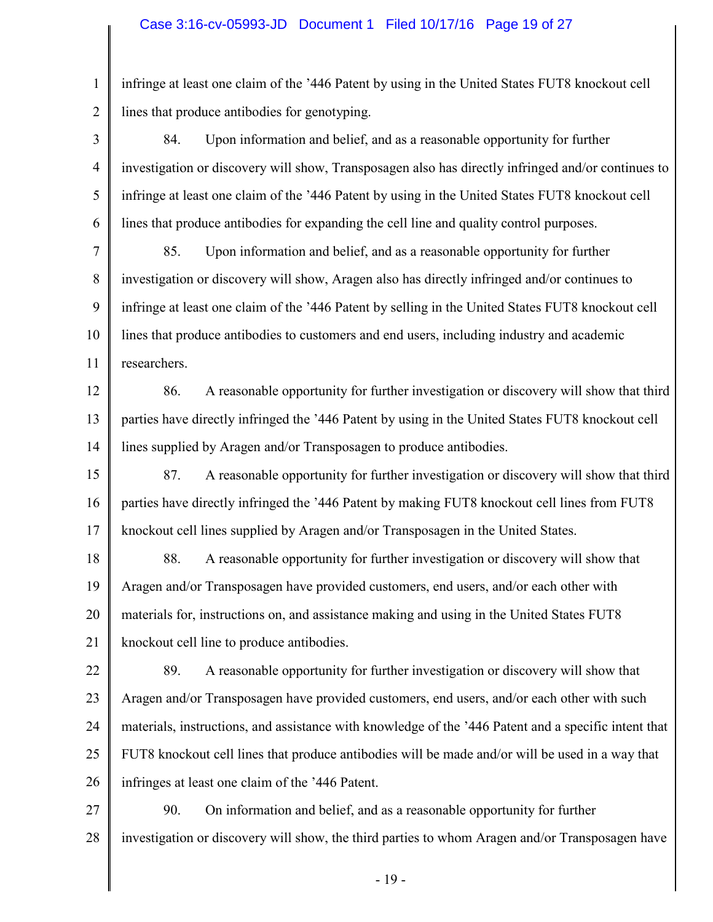## Case 3:16-cv-05993-JD Document 1 Filed 10/17/16 Page 19 of 27

1 2 infringe at least one claim of the '446 Patent by using in the United States FUT8 knockout cell lines that produce antibodies for genotyping.

3 4 5 6 84. Upon information and belief, and as a reasonable opportunity for further investigation or discovery will show, Transposagen also has directly infringed and/or continues to infringe at least one claim of the '446 Patent by using in the United States FUT8 knockout cell lines that produce antibodies for expanding the cell line and quality control purposes.

7 8 9 10 11 85. Upon information and belief, and as a reasonable opportunity for further investigation or discovery will show, Aragen also has directly infringed and/or continues to infringe at least one claim of the '446 Patent by selling in the United States FUT8 knockout cell lines that produce antibodies to customers and end users, including industry and academic researchers.

12 13 14 86. A reasonable opportunity for further investigation or discovery will show that third parties have directly infringed the '446 Patent by using in the United States FUT8 knockout cell lines supplied by Aragen and/or Transposagen to produce antibodies.

15 16 17 87. A reasonable opportunity for further investigation or discovery will show that third parties have directly infringed the '446 Patent by making FUT8 knockout cell lines from FUT8 knockout cell lines supplied by Aragen and/or Transposagen in the United States.

18 19 20 21 88. A reasonable opportunity for further investigation or discovery will show that Aragen and/or Transposagen have provided customers, end users, and/or each other with materials for, instructions on, and assistance making and using in the United States FUT8 knockout cell line to produce antibodies.

22 23 24 25 26 89. A reasonable opportunity for further investigation or discovery will show that Aragen and/or Transposagen have provided customers, end users, and/or each other with such materials, instructions, and assistance with knowledge of the '446 Patent and a specific intent that FUT8 knockout cell lines that produce antibodies will be made and/or will be used in a way that infringes at least one claim of the '446 Patent.

27 28 90. On information and belief, and as a reasonable opportunity for further investigation or discovery will show, the third parties to whom Aragen and/or Transposagen have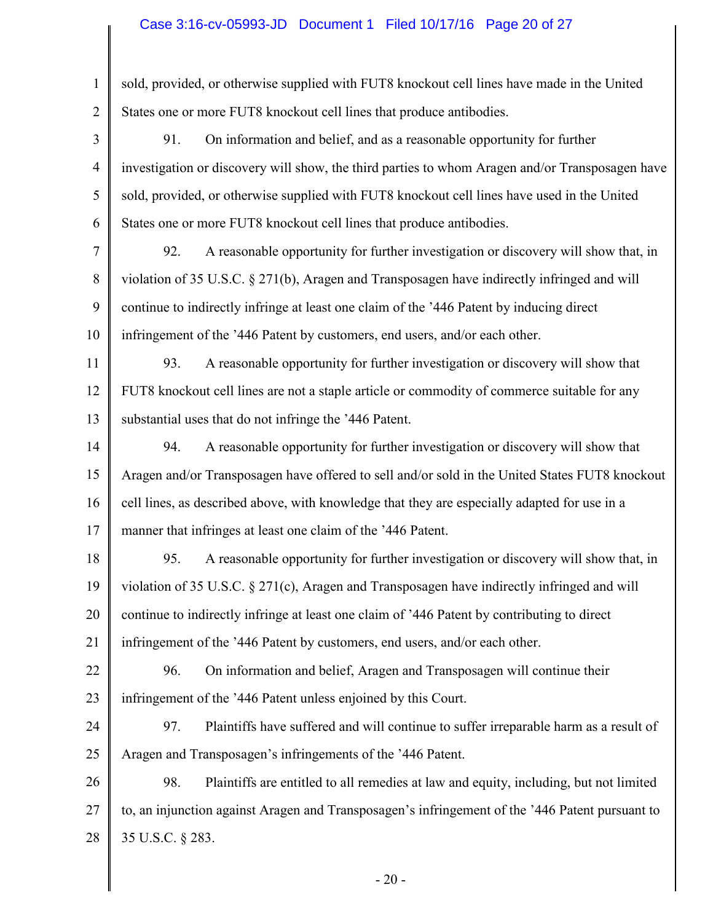# Case 3:16-cv-05993-JD Document 1 Filed 10/17/16 Page 20 of 27

| $\mathbf{1}$   | sold, provided, or otherwise supplied with FUT8 knockout cell lines have made in the United     |  |  |  |  |
|----------------|-------------------------------------------------------------------------------------------------|--|--|--|--|
| $\overline{2}$ | States one or more FUT8 knockout cell lines that produce antibodies.                            |  |  |  |  |
| 3              | On information and belief, and as a reasonable opportunity for further<br>91.                   |  |  |  |  |
| $\overline{4}$ | investigation or discovery will show, the third parties to whom Aragen and/or Transposagen have |  |  |  |  |
| 5              | sold, provided, or otherwise supplied with FUT8 knockout cell lines have used in the United     |  |  |  |  |
| 6              | States one or more FUT8 knockout cell lines that produce antibodies.                            |  |  |  |  |
| 7              | A reasonable opportunity for further investigation or discovery will show that, in<br>92.       |  |  |  |  |
| 8              | violation of 35 U.S.C. § 271(b), Aragen and Transposagen have indirectly infringed and will     |  |  |  |  |
| 9              | continue to indirectly infringe at least one claim of the '446 Patent by inducing direct        |  |  |  |  |
| 10             | infringement of the '446 Patent by customers, end users, and/or each other.                     |  |  |  |  |
| 11             | A reasonable opportunity for further investigation or discovery will show that<br>93.           |  |  |  |  |
| 12             | FUT8 knockout cell lines are not a staple article or commodity of commerce suitable for any     |  |  |  |  |
| 13             | substantial uses that do not infringe the '446 Patent.                                          |  |  |  |  |
| 14             | A reasonable opportunity for further investigation or discovery will show that<br>94.           |  |  |  |  |
| 15             | Aragen and/or Transposagen have offered to sell and/or sold in the United States FUT8 knockout  |  |  |  |  |
| 16             | cell lines, as described above, with knowledge that they are especially adapted for use in a    |  |  |  |  |
| 17             | manner that infringes at least one claim of the '446 Patent.                                    |  |  |  |  |
| 18             | A reasonable opportunity for further investigation or discovery will show that, in<br>95.       |  |  |  |  |
| 19             | violation of 35 U.S.C. § 271(c), Aragen and Transposagen have indirectly infringed and will     |  |  |  |  |
| 20             | continue to indirectly infringe at least one claim of '446 Patent by contributing to direct     |  |  |  |  |
| 21             | infringement of the '446 Patent by customers, end users, and/or each other.                     |  |  |  |  |
| 22             | On information and belief, Aragen and Transposagen will continue their<br>96.                   |  |  |  |  |
| 23             | infringement of the '446 Patent unless enjoined by this Court.                                  |  |  |  |  |
| 24             | Plaintiffs have suffered and will continue to suffer irreparable harm as a result of<br>97.     |  |  |  |  |
| 25             | Aragen and Transposagen's infringements of the '446 Patent.                                     |  |  |  |  |
| 26             | 98.<br>Plaintiffs are entitled to all remedies at law and equity, including, but not limited    |  |  |  |  |
| 27             | to, an injunction against Aragen and Transposagen's infringement of the '446 Patent pursuant to |  |  |  |  |
| 28             | 35 U.S.C. § 283.                                                                                |  |  |  |  |
|                | $-20-$                                                                                          |  |  |  |  |
|                |                                                                                                 |  |  |  |  |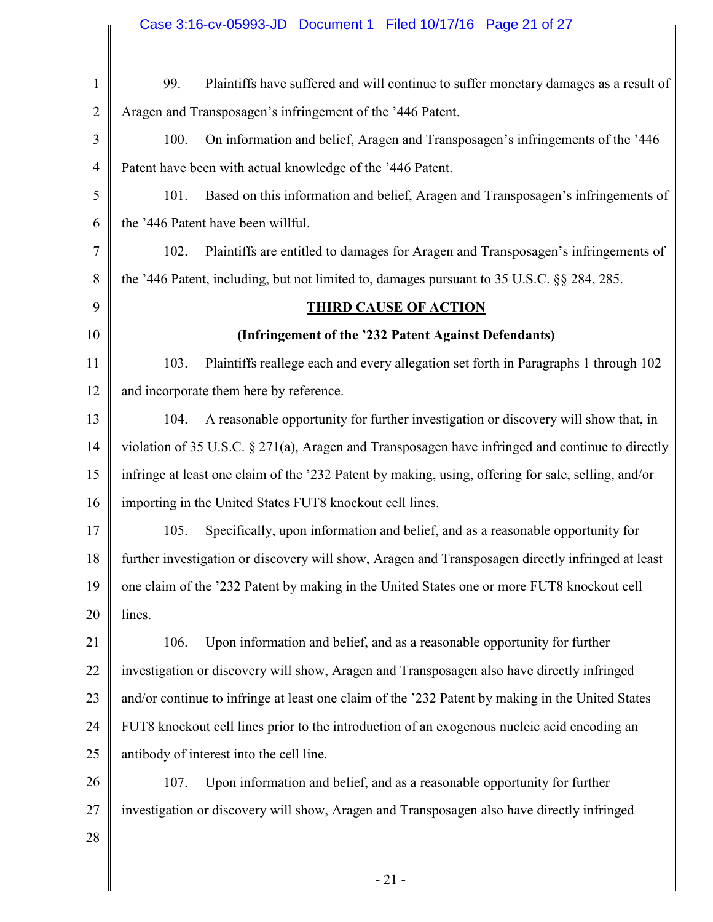|                | Case 3:16-cv-05993-JD  Document 1  Filed 10/17/16  Page 21 of 27                                    |  |  |  |  |
|----------------|-----------------------------------------------------------------------------------------------------|--|--|--|--|
| $\mathbf{1}$   | Plaintiffs have suffered and will continue to suffer monetary damages as a result of<br>99.         |  |  |  |  |
| $\overline{2}$ | Aragen and Transposagen's infringement of the '446 Patent.                                          |  |  |  |  |
| 3              | 100.<br>On information and belief, Aragen and Transposagen's infringements of the '446              |  |  |  |  |
| $\overline{4}$ | Patent have been with actual knowledge of the '446 Patent.                                          |  |  |  |  |
| 5              | 101.<br>Based on this information and belief, Aragen and Transposagen's infringements of            |  |  |  |  |
| 6              | the '446 Patent have been willful.                                                                  |  |  |  |  |
| 7              | Plaintiffs are entitled to damages for Aragen and Transposagen's infringements of<br>102.           |  |  |  |  |
| 8              | the '446 Patent, including, but not limited to, damages pursuant to 35 U.S.C. §§ 284, 285.          |  |  |  |  |
| 9              | <b>THIRD CAUSE OF ACTION</b>                                                                        |  |  |  |  |
| 10             | (Infringement of the '232 Patent Against Defendants)                                                |  |  |  |  |
| 11             | Plaintiffs reallege each and every allegation set forth in Paragraphs 1 through 102<br>103.         |  |  |  |  |
| 12             | and incorporate them here by reference.                                                             |  |  |  |  |
| 13             | A reasonable opportunity for further investigation or discovery will show that, in<br>104.          |  |  |  |  |
| 14             | violation of 35 U.S.C. § 271(a), Aragen and Transposagen have infringed and continue to directly    |  |  |  |  |
| 15             | infringe at least one claim of the '232 Patent by making, using, offering for sale, selling, and/or |  |  |  |  |
| 16             | importing in the United States FUT8 knockout cell lines.                                            |  |  |  |  |
| 17             | Specifically, upon information and belief, and as a reasonable opportunity for<br>105.              |  |  |  |  |
| 18             | further investigation or discovery will show, Aragen and Transposagen directly infringed at least   |  |  |  |  |
| 19             | one claim of the '232 Patent by making in the United States one or more FUT8 knockout cell          |  |  |  |  |
| 20             | lines.                                                                                              |  |  |  |  |
| 21             | Upon information and belief, and as a reasonable opportunity for further<br>106.                    |  |  |  |  |
| 22             | investigation or discovery will show, Aragen and Transposagen also have directly infringed          |  |  |  |  |
| 23             | and/or continue to infringe at least one claim of the '232 Patent by making in the United States    |  |  |  |  |
| 24             | FUT8 knockout cell lines prior to the introduction of an exogenous nucleic acid encoding an         |  |  |  |  |
| 25             | antibody of interest into the cell line.                                                            |  |  |  |  |
| 26             | Upon information and belief, and as a reasonable opportunity for further<br>107.                    |  |  |  |  |
| 27             | investigation or discovery will show, Aragen and Transposagen also have directly infringed          |  |  |  |  |
| 28             |                                                                                                     |  |  |  |  |
|                | $-21-$                                                                                              |  |  |  |  |
|                |                                                                                                     |  |  |  |  |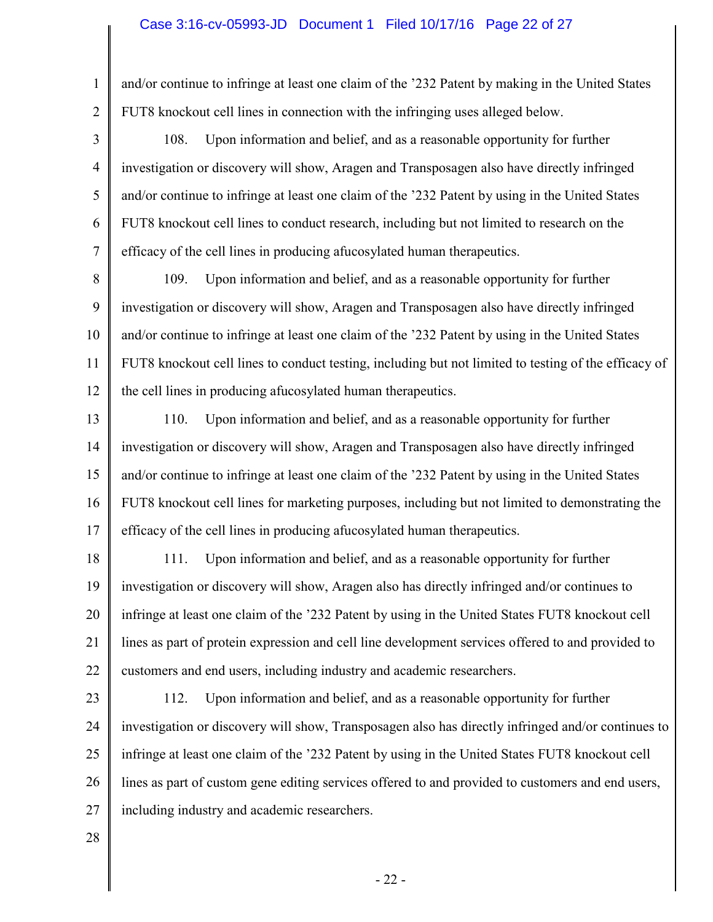#### Case 3:16-cv-05993-JD Document 1 Filed 10/17/16 Page 22 of 27

1 2 and/or continue to infringe at least one claim of the '232 Patent by making in the United States FUT8 knockout cell lines in connection with the infringing uses alleged below.

4 108. Upon information and belief, and as a reasonable opportunity for further investigation or discovery will show, Aragen and Transposagen also have directly infringed and/or continue to infringe at least one claim of the '232 Patent by using in the United States FUT8 knockout cell lines to conduct research, including but not limited to research on the efficacy of the cell lines in producing afucosylated human therapeutics.

8 9 10 11 12 109. Upon information and belief, and as a reasonable opportunity for further investigation or discovery will show, Aragen and Transposagen also have directly infringed and/or continue to infringe at least one claim of the '232 Patent by using in the United States FUT8 knockout cell lines to conduct testing, including but not limited to testing of the efficacy of the cell lines in producing afucosylated human therapeutics.

13 14 15 16 17 110. Upon information and belief, and as a reasonable opportunity for further investigation or discovery will show, Aragen and Transposagen also have directly infringed and/or continue to infringe at least one claim of the '232 Patent by using in the United States FUT8 knockout cell lines for marketing purposes, including but not limited to demonstrating the efficacy of the cell lines in producing afucosylated human therapeutics.

18 19 20 21 22 111. Upon information and belief, and as a reasonable opportunity for further investigation or discovery will show, Aragen also has directly infringed and/or continues to infringe at least one claim of the '232 Patent by using in the United States FUT8 knockout cell lines as part of protein expression and cell line development services offered to and provided to customers and end users, including industry and academic researchers.

23 24

25

26

27

3

5

6

7

112. Upon information and belief, and as a reasonable opportunity for further investigation or discovery will show, Transposagen also has directly infringed and/or continues to infringe at least one claim of the '232 Patent by using in the United States FUT8 knockout cell lines as part of custom gene editing services offered to and provided to customers and end users, including industry and academic researchers.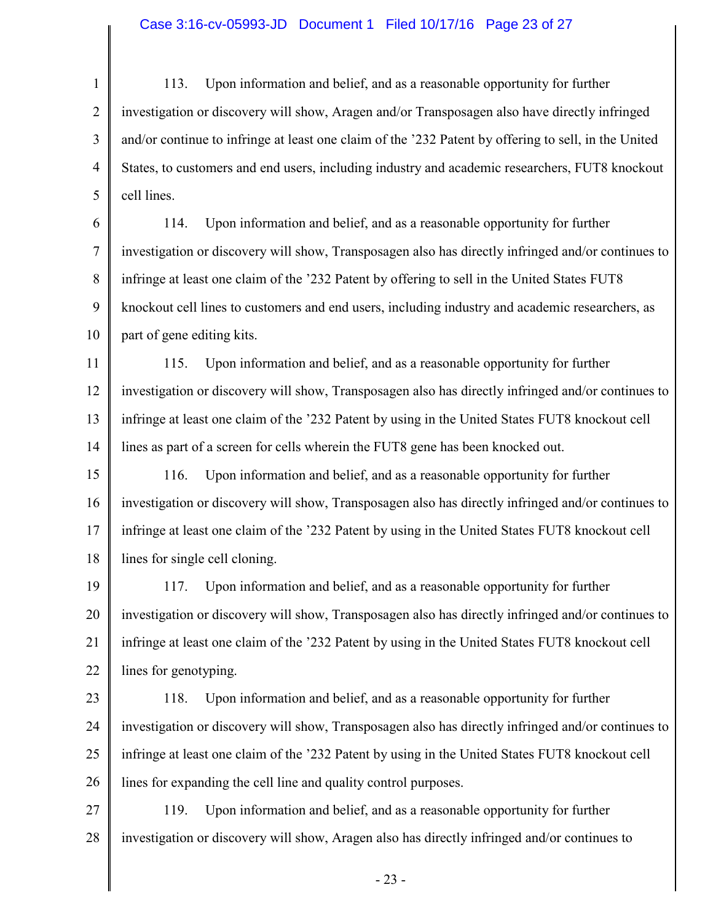1 2 3 4 5 113. Upon information and belief, and as a reasonable opportunity for further investigation or discovery will show, Aragen and/or Transposagen also have directly infringed and/or continue to infringe at least one claim of the '232 Patent by offering to sell, in the United States, to customers and end users, including industry and academic researchers, FUT8 knockout cell lines.

6 7 8 9 10 114. Upon information and belief, and as a reasonable opportunity for further investigation or discovery will show, Transposagen also has directly infringed and/or continues to infringe at least one claim of the '232 Patent by offering to sell in the United States FUT8 knockout cell lines to customers and end users, including industry and academic researchers, as part of gene editing kits.

11 12 13 14 115. Upon information and belief, and as a reasonable opportunity for further investigation or discovery will show, Transposagen also has directly infringed and/or continues to infringe at least one claim of the '232 Patent by using in the United States FUT8 knockout cell lines as part of a screen for cells wherein the FUT8 gene has been knocked out.

15 16 17 18 116. Upon information and belief, and as a reasonable opportunity for further investigation or discovery will show, Transposagen also has directly infringed and/or continues to infringe at least one claim of the '232 Patent by using in the United States FUT8 knockout cell lines for single cell cloning.

19 20 21 22 117. Upon information and belief, and as a reasonable opportunity for further investigation or discovery will show, Transposagen also has directly infringed and/or continues to infringe at least one claim of the '232 Patent by using in the United States FUT8 knockout cell lines for genotyping.

23

24 25 26 118. Upon information and belief, and as a reasonable opportunity for further investigation or discovery will show, Transposagen also has directly infringed and/or continues to infringe at least one claim of the '232 Patent by using in the United States FUT8 knockout cell lines for expanding the cell line and quality control purposes.

27 28 119. Upon information and belief, and as a reasonable opportunity for further investigation or discovery will show, Aragen also has directly infringed and/or continues to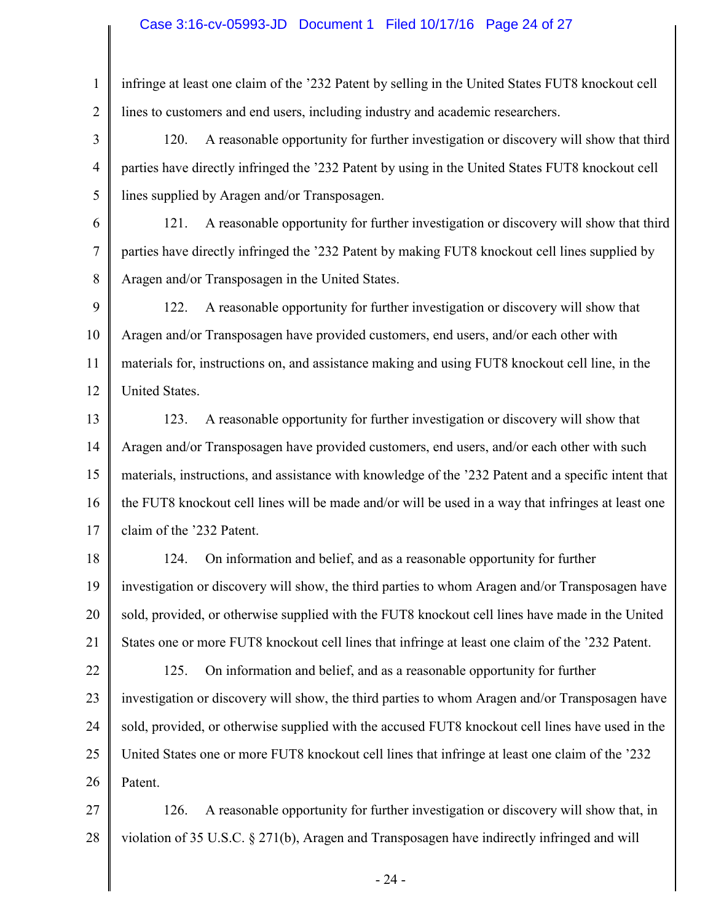## Case 3:16-cv-05993-JD Document 1 Filed 10/17/16 Page 24 of 27

1 2 infringe at least one claim of the '232 Patent by selling in the United States FUT8 knockout cell lines to customers and end users, including industry and academic researchers.

3 4 5 120. A reasonable opportunity for further investigation or discovery will show that third parties have directly infringed the '232 Patent by using in the United States FUT8 knockout cell lines supplied by Aragen and/or Transposagen.

6

7

8

121. A reasonable opportunity for further investigation or discovery will show that third parties have directly infringed the '232 Patent by making FUT8 knockout cell lines supplied by Aragen and/or Transposagen in the United States.

9 10 11 12 122. A reasonable opportunity for further investigation or discovery will show that Aragen and/or Transposagen have provided customers, end users, and/or each other with materials for, instructions on, and assistance making and using FUT8 knockout cell line, in the United States.

13 14 15 16 17 123. A reasonable opportunity for further investigation or discovery will show that Aragen and/or Transposagen have provided customers, end users, and/or each other with such materials, instructions, and assistance with knowledge of the '232 Patent and a specific intent that the FUT8 knockout cell lines will be made and/or will be used in a way that infringes at least one claim of the '232 Patent.

18 19 20 21 124. On information and belief, and as a reasonable opportunity for further investigation or discovery will show, the third parties to whom Aragen and/or Transposagen have sold, provided, or otherwise supplied with the FUT8 knockout cell lines have made in the United States one or more FUT8 knockout cell lines that infringe at least one claim of the '232 Patent.

22 23 24 25 26 125. On information and belief, and as a reasonable opportunity for further investigation or discovery will show, the third parties to whom Aragen and/or Transposagen have sold, provided, or otherwise supplied with the accused FUT8 knockout cell lines have used in the United States one or more FUT8 knockout cell lines that infringe at least one claim of the '232 Patent.

27 28 126. A reasonable opportunity for further investigation or discovery will show that, in violation of 35 U.S.C. § 271(b), Aragen and Transposagen have indirectly infringed and will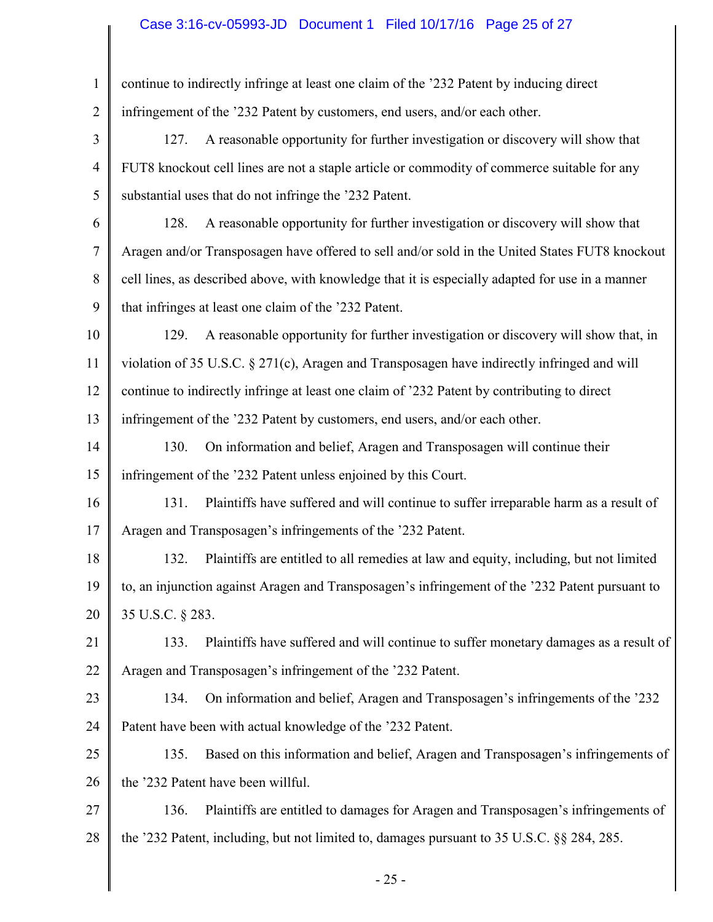# Case 3:16-cv-05993-JD Document 1 Filed 10/17/16 Page 25 of 27

 $\mathsf{l}$ 

| $\mathbf{1}$   | continue to indirectly infringe at least one claim of the '232 Patent by inducing direct         |  |  |  |  |
|----------------|--------------------------------------------------------------------------------------------------|--|--|--|--|
| $\overline{2}$ | infringement of the '232 Patent by customers, end users, and/or each other.                      |  |  |  |  |
| 3              | A reasonable opportunity for further investigation or discovery will show that<br>127.           |  |  |  |  |
| $\overline{4}$ | FUT8 knockout cell lines are not a staple article or commodity of commerce suitable for any      |  |  |  |  |
| 5              | substantial uses that do not infringe the '232 Patent.                                           |  |  |  |  |
| 6              | A reasonable opportunity for further investigation or discovery will show that<br>128.           |  |  |  |  |
| $\tau$         | Aragen and/or Transposagen have offered to sell and/or sold in the United States FUT8 knockout   |  |  |  |  |
| 8              | cell lines, as described above, with knowledge that it is especially adapted for use in a manner |  |  |  |  |
| 9              | that infringes at least one claim of the '232 Patent.                                            |  |  |  |  |
| 10             | 129.<br>A reasonable opportunity for further investigation or discovery will show that, in       |  |  |  |  |
| 11             | violation of 35 U.S.C. § 271(c), Aragen and Transposagen have indirectly infringed and will      |  |  |  |  |
| 12             | continue to indirectly infringe at least one claim of '232 Patent by contributing to direct      |  |  |  |  |
| 13             | infringement of the '232 Patent by customers, end users, and/or each other.                      |  |  |  |  |
| 14             | 130.<br>On information and belief, Aragen and Transposagen will continue their                   |  |  |  |  |
| 15             | infringement of the '232 Patent unless enjoined by this Court.                                   |  |  |  |  |
| 16             | Plaintiffs have suffered and will continue to suffer irreparable harm as a result of<br>131.     |  |  |  |  |
| 17             | Aragen and Transposagen's infringements of the '232 Patent.                                      |  |  |  |  |
| 18             | 132.<br>Plaintiffs are entitled to all remedies at law and equity, including, but not limited    |  |  |  |  |
| 19             | to, an injunction against Aragen and Transposagen's infringement of the '232 Patent pursuant to  |  |  |  |  |
| 20             | 35 U.S.C. § 283.                                                                                 |  |  |  |  |
| 21             | Plaintiffs have suffered and will continue to suffer monetary damages as a result of<br>133.     |  |  |  |  |
| 22             | Aragen and Transposagen's infringement of the '232 Patent.                                       |  |  |  |  |
| 23             | On information and belief, Aragen and Transposagen's infringements of the '232<br>134.           |  |  |  |  |
| 24             | Patent have been with actual knowledge of the '232 Patent.                                       |  |  |  |  |
| 25             | Based on this information and belief, Aragen and Transposagen's infringements of<br>135.         |  |  |  |  |
| 26             | the '232 Patent have been willful.                                                               |  |  |  |  |
| 27             | Plaintiffs are entitled to damages for Aragen and Transposagen's infringements of<br>136.        |  |  |  |  |
| 28             | the '232 Patent, including, but not limited to, damages pursuant to 35 U.S.C. §§ 284, 285.       |  |  |  |  |
|                | $-25-$                                                                                           |  |  |  |  |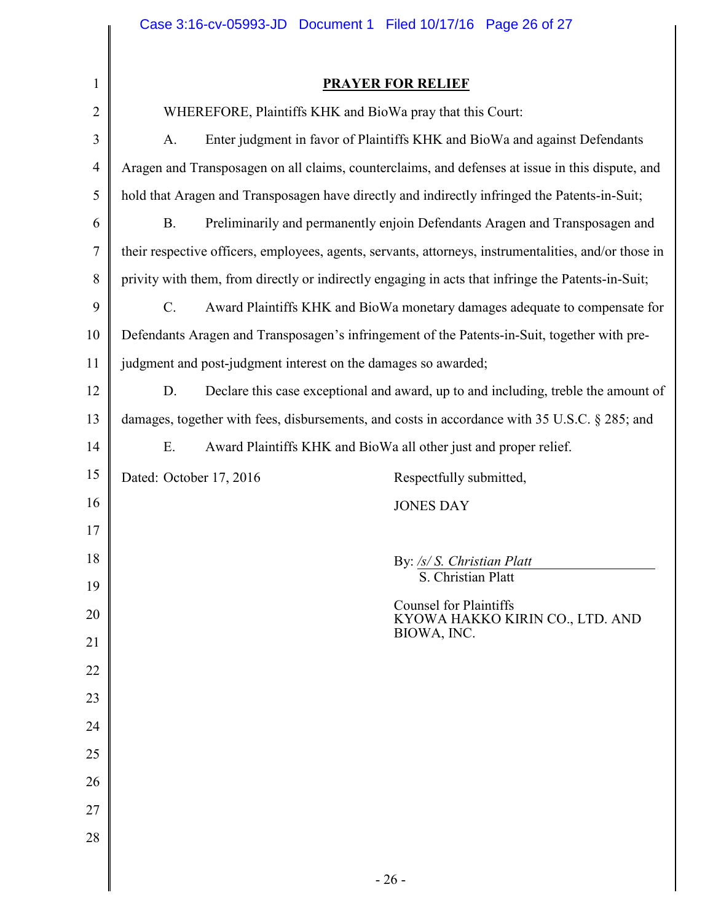|                | Case 3.16-CV-05993-JD Document I Filed 10/17/16 Page 26 01 27                                         |  |  |  |  |
|----------------|-------------------------------------------------------------------------------------------------------|--|--|--|--|
| $\mathbf{1}$   | <b>PRAYER FOR RELIEF</b>                                                                              |  |  |  |  |
| $\overline{2}$ | WHEREFORE, Plaintiffs KHK and BioWa pray that this Court:                                             |  |  |  |  |
| 3              | Enter judgment in favor of Plaintiffs KHK and BioWa and against Defendants<br>A.                      |  |  |  |  |
| $\overline{4}$ | Aragen and Transposagen on all claims, counterclaims, and defenses at issue in this dispute, and      |  |  |  |  |
| 5              | hold that Aragen and Transposagen have directly and indirectly infringed the Patents-in-Suit;         |  |  |  |  |
| 6              | Preliminarily and permanently enjoin Defendants Aragen and Transposagen and<br><b>B.</b>              |  |  |  |  |
| 7              | their respective officers, employees, agents, servants, attorneys, instrumentalities, and/or those in |  |  |  |  |
| 8              | privity with them, from directly or indirectly engaging in acts that infringe the Patents-in-Suit;    |  |  |  |  |
| 9              | $C_{\cdot}$<br>Award Plaintiffs KHK and BioWa monetary damages adequate to compensate for             |  |  |  |  |
| 10             | Defendants Aragen and Transposagen's infringement of the Patents-in-Suit, together with pre-          |  |  |  |  |
| 11             | judgment and post-judgment interest on the damages so awarded;                                        |  |  |  |  |
| 12             | Declare this case exceptional and award, up to and including, treble the amount of<br>D.              |  |  |  |  |
| 13             | damages, together with fees, disbursements, and costs in accordance with 35 U.S.C. § 285; and         |  |  |  |  |
| 14             | E.<br>Award Plaintiffs KHK and BioWa all other just and proper relief.                                |  |  |  |  |
| 15             | Dated: October 17, 2016<br>Respectfully submitted,                                                    |  |  |  |  |
| 16             | <b>JONES DAY</b>                                                                                      |  |  |  |  |
| 17             |                                                                                                       |  |  |  |  |
| 18             | By: <u>/s/ S. Christian Platt</u><br>S. Christian Platt                                               |  |  |  |  |
| 19             | <b>Counsel for Plaintiffs</b>                                                                         |  |  |  |  |
| 20<br>21       | KYOWA HAKKO KIRIN CO., LTD. AND<br>BIOWA, INC.                                                        |  |  |  |  |
| 22             |                                                                                                       |  |  |  |  |
| 23             |                                                                                                       |  |  |  |  |
| 24             |                                                                                                       |  |  |  |  |
| 25             |                                                                                                       |  |  |  |  |
| 26             |                                                                                                       |  |  |  |  |
| 27             |                                                                                                       |  |  |  |  |
| 28             |                                                                                                       |  |  |  |  |
|                |                                                                                                       |  |  |  |  |
|                | $-26-$                                                                                                |  |  |  |  |